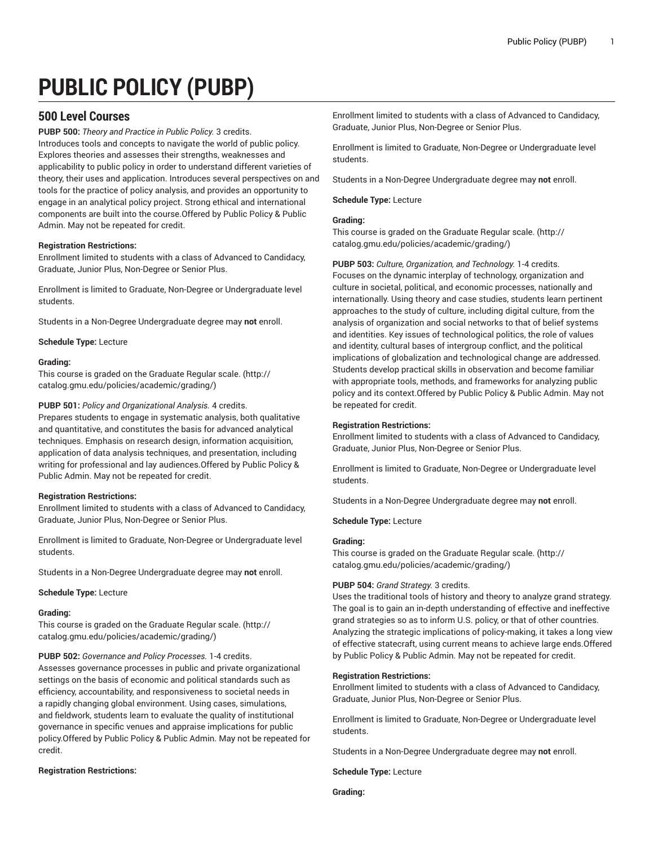# **PUBLIC POLICY (PUBP)**

# **500 Level Courses**

**PUBP 500:** *Theory and Practice in Public Policy.* 3 credits. Introduces tools and concepts to navigate the world of public policy. Explores theories and assesses their strengths, weaknesses and applicability to public policy in order to understand different varieties of theory, their uses and application. Introduces several perspectives on and tools for the practice of policy analysis, and provides an opportunity to engage in an analytical policy project. Strong ethical and international components are built into the course.Offered by Public Policy & Public Admin. May not be repeated for credit.

# **Registration Restrictions:**

Enrollment limited to students with a class of Advanced to Candidacy, Graduate, Junior Plus, Non-Degree or Senior Plus.

Enrollment is limited to Graduate, Non-Degree or Undergraduate level students.

Students in a Non-Degree Undergraduate degree may **not** enroll.

**Schedule Type:** Lecture

# **Grading:**

This course is graded on the [Graduate Regular scale.](http://catalog.gmu.edu/policies/academic/grading/) [\(http://](http://catalog.gmu.edu/policies/academic/grading/) [catalog.gmu.edu/policies/academic/grading/\)](http://catalog.gmu.edu/policies/academic/grading/)

# **PUBP 501:** *Policy and Organizational Analysis.* 4 credits.

Prepares students to engage in systematic analysis, both qualitative and quantitative, and constitutes the basis for advanced analytical techniques. Emphasis on research design, information acquisition, application of data analysis techniques, and presentation, including writing for professional and lay audiences.Offered by Public Policy & Public Admin. May not be repeated for credit.

# **Registration Restrictions:**

Enrollment limited to students with a class of Advanced to Candidacy, Graduate, Junior Plus, Non-Degree or Senior Plus.

Enrollment is limited to Graduate, Non-Degree or Undergraduate level students.

Students in a Non-Degree Undergraduate degree may **not** enroll.

**Schedule Type:** Lecture

# **Grading:**

This course is graded on the [Graduate Regular scale.](http://catalog.gmu.edu/policies/academic/grading/) [\(http://](http://catalog.gmu.edu/policies/academic/grading/) [catalog.gmu.edu/policies/academic/grading/\)](http://catalog.gmu.edu/policies/academic/grading/)

**PUBP 502:** *Governance and Policy Processes.* 1-4 credits.

Assesses governance processes in public and private organizational settings on the basis of economic and political standards such as efficiency, accountability, and responsiveness to societal needs in a rapidly changing global environment. Using cases, simulations, and fieldwork, students learn to evaluate the quality of institutional governance in specific venues and appraise implications for public policy.Offered by Public Policy & Public Admin. May not be repeated for credit.

# **Registration Restrictions:**

Enrollment limited to students with a class of Advanced to Candidacy, Graduate, Junior Plus, Non-Degree or Senior Plus.

Enrollment is limited to Graduate, Non-Degree or Undergraduate level students.

Students in a Non-Degree Undergraduate degree may **not** enroll.

# **Schedule Type:** Lecture

# **Grading:**

This course is graded on the [Graduate Regular scale.](http://catalog.gmu.edu/policies/academic/grading/) ([http://](http://catalog.gmu.edu/policies/academic/grading/) [catalog.gmu.edu/policies/academic/grading/](http://catalog.gmu.edu/policies/academic/grading/))

**PUBP 503:** *Culture, Organization, and Technology.* 1-4 credits. Focuses on the dynamic interplay of technology, organization and culture in societal, political, and economic processes, nationally and internationally. Using theory and case studies, students learn pertinent approaches to the study of culture, including digital culture, from the analysis of organization and social networks to that of belief systems and identities. Key issues of technological politics, the role of values and identity, cultural bases of intergroup conflict, and the political implications of globalization and technological change are addressed. Students develop practical skills in observation and become familiar with appropriate tools, methods, and frameworks for analyzing public policy and its context.Offered by Public Policy & Public Admin. May not be repeated for credit.

# **Registration Restrictions:**

Enrollment limited to students with a class of Advanced to Candidacy, Graduate, Junior Plus, Non-Degree or Senior Plus.

Enrollment is limited to Graduate, Non-Degree or Undergraduate level students.

Students in a Non-Degree Undergraduate degree may **not** enroll.

**Schedule Type:** Lecture

# **Grading:**

This course is graded on the [Graduate Regular scale.](http://catalog.gmu.edu/policies/academic/grading/) ([http://](http://catalog.gmu.edu/policies/academic/grading/) [catalog.gmu.edu/policies/academic/grading/](http://catalog.gmu.edu/policies/academic/grading/))

# **PUBP 504:** *Grand Strategy.* 3 credits.

Uses the traditional tools of history and theory to analyze grand strategy. The goal is to gain an in-depth understanding of effective and ineffective grand strategies so as to inform U.S. policy, or that of other countries. Analyzing the strategic implications of policy-making, it takes a long view of effective statecraft, using current means to achieve large ends.Offered by Public Policy & Public Admin. May not be repeated for credit.

# **Registration Restrictions:**

Enrollment limited to students with a class of Advanced to Candidacy, Graduate, Junior Plus, Non-Degree or Senior Plus.

Enrollment is limited to Graduate, Non-Degree or Undergraduate level students.

Students in a Non-Degree Undergraduate degree may **not** enroll.

**Schedule Type:** Lecture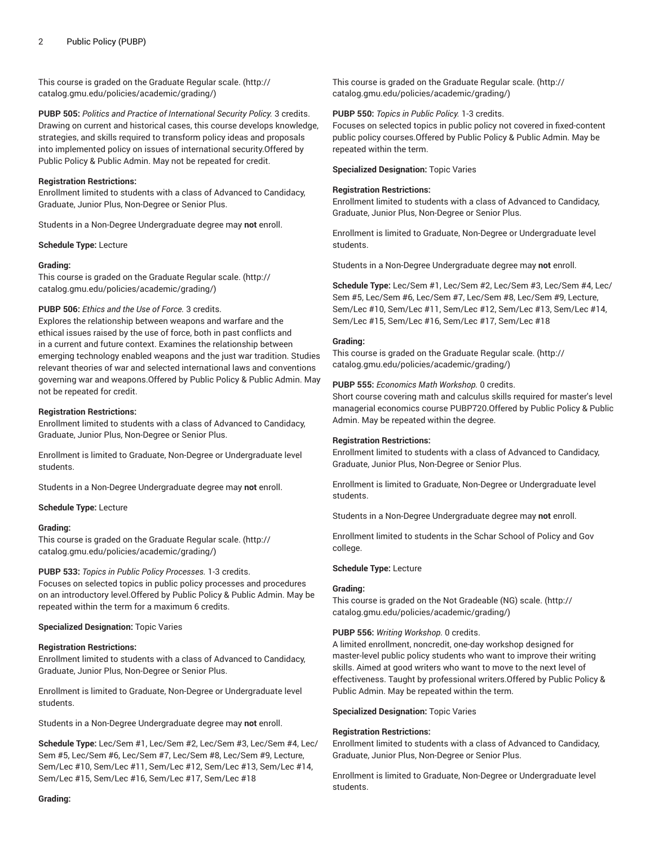This course is graded on the [Graduate Regular scale.](http://catalog.gmu.edu/policies/academic/grading/) [\(http://](http://catalog.gmu.edu/policies/academic/grading/) [catalog.gmu.edu/policies/academic/grading/\)](http://catalog.gmu.edu/policies/academic/grading/)

**PUBP 505:** *Politics and Practice of International Security Policy.* 3 credits. Drawing on current and historical cases, this course develops knowledge, strategies, and skills required to transform policy ideas and proposals into implemented policy on issues of international security.Offered by Public Policy & Public Admin. May not be repeated for credit.

# **Registration Restrictions:**

Enrollment limited to students with a class of Advanced to Candidacy, Graduate, Junior Plus, Non-Degree or Senior Plus.

Students in a Non-Degree Undergraduate degree may **not** enroll.

#### **Schedule Type:** Lecture

#### **Grading:**

This course is graded on the [Graduate Regular scale.](http://catalog.gmu.edu/policies/academic/grading/) [\(http://](http://catalog.gmu.edu/policies/academic/grading/) [catalog.gmu.edu/policies/academic/grading/\)](http://catalog.gmu.edu/policies/academic/grading/)

# **PUBP 506:** *Ethics and the Use of Force.* 3 credits.

Explores the relationship between weapons and warfare and the ethical issues raised by the use of force, both in past conflicts and in a current and future context. Examines the relationship between emerging technology enabled weapons and the just war tradition. Studies relevant theories of war and selected international laws and conventions governing war and weapons.Offered by Public Policy & Public Admin. May not be repeated for credit.

#### **Registration Restrictions:**

Enrollment limited to students with a class of Advanced to Candidacy, Graduate, Junior Plus, Non-Degree or Senior Plus.

Enrollment is limited to Graduate, Non-Degree or Undergraduate level students.

Students in a Non-Degree Undergraduate degree may **not** enroll.

#### **Schedule Type:** Lecture

#### **Grading:**

This course is graded on the [Graduate Regular scale.](http://catalog.gmu.edu/policies/academic/grading/) [\(http://](http://catalog.gmu.edu/policies/academic/grading/) [catalog.gmu.edu/policies/academic/grading/\)](http://catalog.gmu.edu/policies/academic/grading/)

#### **PUBP 533:** *Topics in Public Policy Processes.* 1-3 credits.

Focuses on selected topics in public policy processes and procedures on an introductory level.Offered by Public Policy & Public Admin. May be repeated within the term for a maximum 6 credits.

#### **Specialized Designation:** Topic Varies

#### **Registration Restrictions:**

Enrollment limited to students with a class of Advanced to Candidacy, Graduate, Junior Plus, Non-Degree or Senior Plus.

Enrollment is limited to Graduate, Non-Degree or Undergraduate level students.

Students in a Non-Degree Undergraduate degree may **not** enroll.

**Schedule Type:** Lec/Sem #1, Lec/Sem #2, Lec/Sem #3, Lec/Sem #4, Lec/ Sem #5, Lec/Sem #6, Lec/Sem #7, Lec/Sem #8, Lec/Sem #9, Lecture, Sem/Lec #10, Sem/Lec #11, Sem/Lec #12, Sem/Lec #13, Sem/Lec #14, Sem/Lec #15, Sem/Lec #16, Sem/Lec #17, Sem/Lec #18

This course is graded on the [Graduate Regular scale.](http://catalog.gmu.edu/policies/academic/grading/) ([http://](http://catalog.gmu.edu/policies/academic/grading/) [catalog.gmu.edu/policies/academic/grading/](http://catalog.gmu.edu/policies/academic/grading/))

#### **PUBP 550:** *Topics in Public Policy.* 1-3 credits.

Focuses on selected topics in public policy not covered in fixed-content public policy courses.Offered by Public Policy & Public Admin. May be repeated within the term.

# **Specialized Designation:** Topic Varies

# **Registration Restrictions:**

Enrollment limited to students with a class of Advanced to Candidacy, Graduate, Junior Plus, Non-Degree or Senior Plus.

Enrollment is limited to Graduate, Non-Degree or Undergraduate level students.

Students in a Non-Degree Undergraduate degree may **not** enroll.

**Schedule Type:** Lec/Sem #1, Lec/Sem #2, Lec/Sem #3, Lec/Sem #4, Lec/ Sem #5, Lec/Sem #6, Lec/Sem #7, Lec/Sem #8, Lec/Sem #9, Lecture, Sem/Lec #10, Sem/Lec #11, Sem/Lec #12, Sem/Lec #13, Sem/Lec #14, Sem/Lec #15, Sem/Lec #16, Sem/Lec #17, Sem/Lec #18

# **Grading:**

This course is graded on the [Graduate Regular scale.](http://catalog.gmu.edu/policies/academic/grading/) ([http://](http://catalog.gmu.edu/policies/academic/grading/) [catalog.gmu.edu/policies/academic/grading/](http://catalog.gmu.edu/policies/academic/grading/))

**PUBP 555:** *Economics Math Workshop.* 0 credits.

Short course covering math and calculus skills required for master's level managerial economics course PUBP720.Offered by Public Policy & Public Admin. May be repeated within the degree.

# **Registration Restrictions:**

Enrollment limited to students with a class of Advanced to Candidacy, Graduate, Junior Plus, Non-Degree or Senior Plus.

Enrollment is limited to Graduate, Non-Degree or Undergraduate level students.

Students in a Non-Degree Undergraduate degree may **not** enroll.

Enrollment limited to students in the Schar School of Policy and Gov college.

#### **Schedule Type:** Lecture

#### **Grading:**

This course is graded on the [Not Gradeable \(NG\) scale.](http://catalog.gmu.edu/policies/academic/grading/) ([http://](http://catalog.gmu.edu/policies/academic/grading/) [catalog.gmu.edu/policies/academic/grading/](http://catalog.gmu.edu/policies/academic/grading/))

#### **PUBP 556:** *Writing Workshop.* 0 credits.

A limited enrollment, noncredit, one-day workshop designed for master-level public policy students who want to improve their writing skills. Aimed at good writers who want to move to the next level of effectiveness. Taught by professional writers.Offered by Public Policy & Public Admin. May be repeated within the term.

#### **Specialized Designation:** Topic Varies

#### **Registration Restrictions:**

Enrollment limited to students with a class of Advanced to Candidacy, Graduate, Junior Plus, Non-Degree or Senior Plus.

Enrollment is limited to Graduate, Non-Degree or Undergraduate level students.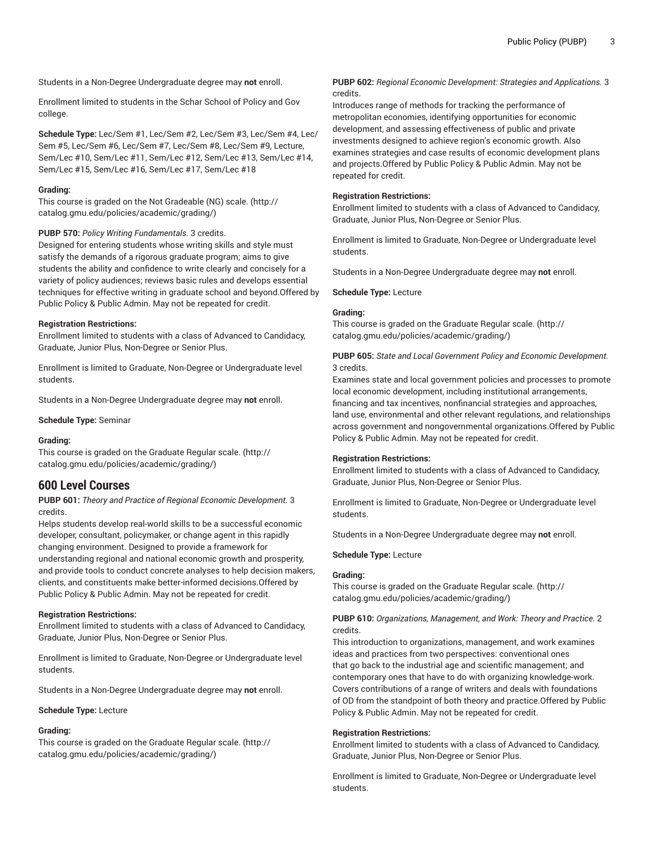Enrollment limited to students in the Schar School of Policy and Gov college.

**Schedule Type:** Lec/Sem #1, Lec/Sem #2, Lec/Sem #3, Lec/Sem #4, Lec/ Sem #5, Lec/Sem #6, Lec/Sem #7, Lec/Sem #8, Lec/Sem #9, Lecture, Sem/Lec #10, Sem/Lec #11, Sem/Lec #12, Sem/Lec #13, Sem/Lec #14, Sem/Lec #15, Sem/Lec #16, Sem/Lec #17, Sem/Lec #18

# **Grading:**

This course is graded on the [Not Gradeable \(NG\) scale. \(http://](http://catalog.gmu.edu/policies/academic/grading/) [catalog.gmu.edu/policies/academic/grading/\)](http://catalog.gmu.edu/policies/academic/grading/)

# **PUBP 570:** *Policy Writing Fundamentals.* 3 credits.

Designed for entering students whose writing skills and style must satisfy the demands of a rigorous graduate program; aims to give students the ability and confidence to write clearly and concisely for a variety of policy audiences; reviews basic rules and develops essential techniques for effective writing in graduate school and beyond.Offered by Public Policy & Public Admin. May not be repeated for credit.

#### **Registration Restrictions:**

Enrollment limited to students with a class of Advanced to Candidacy, Graduate, Junior Plus, Non-Degree or Senior Plus.

Enrollment is limited to Graduate, Non-Degree or Undergraduate level students.

Students in a Non-Degree Undergraduate degree may **not** enroll.

#### **Schedule Type:** Seminar

#### **Grading:**

This course is graded on the [Graduate Regular scale.](http://catalog.gmu.edu/policies/academic/grading/) [\(http://](http://catalog.gmu.edu/policies/academic/grading/) [catalog.gmu.edu/policies/academic/grading/\)](http://catalog.gmu.edu/policies/academic/grading/)

# **600 Level Courses**

**PUBP 601:** *Theory and Practice of Regional Economic Development.* 3 credits.

Helps students develop real-world skills to be a successful economic developer, consultant, policymaker, or change agent in this rapidly changing environment. Designed to provide a framework for understanding regional and national economic growth and prosperity, and provide tools to conduct concrete analyses to help decision makers, clients, and constituents make better-informed decisions.Offered by Public Policy & Public Admin. May not be repeated for credit.

#### **Registration Restrictions:**

Enrollment limited to students with a class of Advanced to Candidacy, Graduate, Junior Plus, Non-Degree or Senior Plus.

Enrollment is limited to Graduate, Non-Degree or Undergraduate level students.

Students in a Non-Degree Undergraduate degree may **not** enroll.

#### **Schedule Type:** Lecture

# **Grading:**

This course is graded on the [Graduate Regular scale.](http://catalog.gmu.edu/policies/academic/grading/) [\(http://](http://catalog.gmu.edu/policies/academic/grading/) [catalog.gmu.edu/policies/academic/grading/\)](http://catalog.gmu.edu/policies/academic/grading/)

**PUBP 602:** *Regional Economic Development: Strategies and Applications.* 3 credits.

Introduces range of methods for tracking the performance of metropolitan economies, identifying opportunities for economic development, and assessing effectiveness of public and private investments designed to achieve region's economic growth. Also examines strategies and case results of economic development plans and projects.Offered by Public Policy & Public Admin. May not be repeated for credit.

# **Registration Restrictions:**

Enrollment limited to students with a class of Advanced to Candidacy, Graduate, Junior Plus, Non-Degree or Senior Plus.

Enrollment is limited to Graduate, Non-Degree or Undergraduate level students.

Students in a Non-Degree Undergraduate degree may **not** enroll.

#### **Schedule Type:** Lecture

# **Grading:**

This course is graded on the [Graduate Regular scale.](http://catalog.gmu.edu/policies/academic/grading/) ([http://](http://catalog.gmu.edu/policies/academic/grading/) [catalog.gmu.edu/policies/academic/grading/](http://catalog.gmu.edu/policies/academic/grading/))

# **PUBP 605:** *State and Local Government Policy and Economic Development.* 3 credits.

Examines state and local government policies and processes to promote local economic development, including institutional arrangements, financing and tax incentives, nonfinancial strategies and approaches, land use, environmental and other relevant regulations, and relationships across government and nongovernmental organizations.Offered by Public Policy & Public Admin. May not be repeated for credit.

#### **Registration Restrictions:**

Enrollment limited to students with a class of Advanced to Candidacy, Graduate, Junior Plus, Non-Degree or Senior Plus.

Enrollment is limited to Graduate, Non-Degree or Undergraduate level students.

Students in a Non-Degree Undergraduate degree may **not** enroll.

#### **Schedule Type:** Lecture

# **Grading:**

This course is graded on the [Graduate Regular scale.](http://catalog.gmu.edu/policies/academic/grading/) ([http://](http://catalog.gmu.edu/policies/academic/grading/) [catalog.gmu.edu/policies/academic/grading/](http://catalog.gmu.edu/policies/academic/grading/))

# **PUBP 610:** *Organizations, Management, and Work: Theory and Practice.* 2 credits.

This introduction to organizations, management, and work examines ideas and practices from two perspectives: conventional ones that go back to the industrial age and scientific management; and contemporary ones that have to do with organizing knowledge-work. Covers contributions of a range of writers and deals with foundations of OD from the standpoint of both theory and practice.Offered by Public Policy & Public Admin. May not be repeated for credit.

# **Registration Restrictions:**

Enrollment limited to students with a class of Advanced to Candidacy, Graduate, Junior Plus, Non-Degree or Senior Plus.

Enrollment is limited to Graduate, Non-Degree or Undergraduate level students.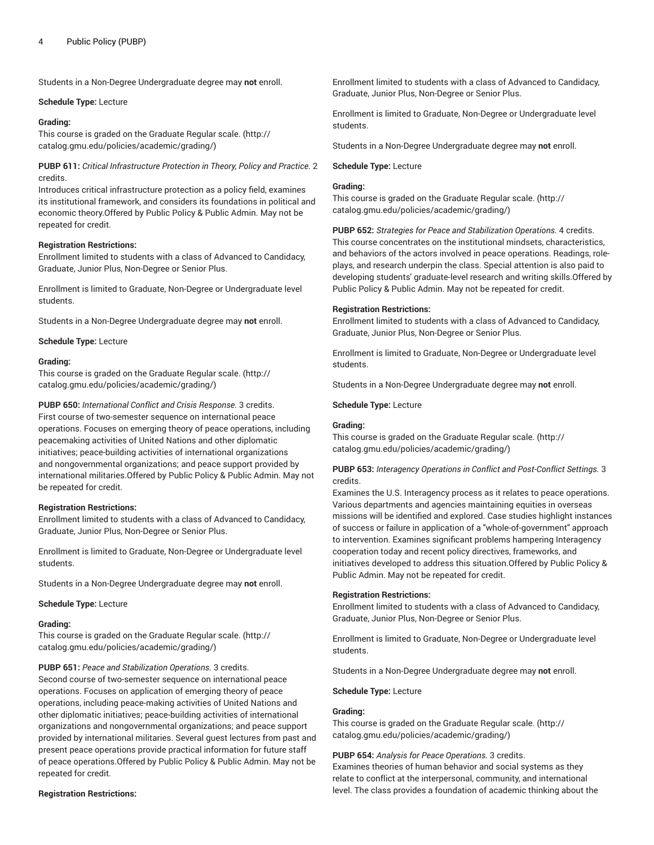#### **Schedule Type:** Lecture

# **Grading:**

This course is graded on the [Graduate Regular scale.](http://catalog.gmu.edu/policies/academic/grading/) [\(http://](http://catalog.gmu.edu/policies/academic/grading/) [catalog.gmu.edu/policies/academic/grading/\)](http://catalog.gmu.edu/policies/academic/grading/)

**PUBP 611:** *Critical Infrastructure Protection in Theory, Policy and Practice.* 2 credits.

Introduces critical infrastructure protection as a policy field, examines its institutional framework, and considers its foundations in political and economic theory.Offered by Public Policy & Public Admin. May not be repeated for credit.

# **Registration Restrictions:**

Enrollment limited to students with a class of Advanced to Candidacy, Graduate, Junior Plus, Non-Degree or Senior Plus.

Enrollment is limited to Graduate, Non-Degree or Undergraduate level students.

Students in a Non-Degree Undergraduate degree may **not** enroll.

#### **Schedule Type:** Lecture

#### **Grading:**

This course is graded on the [Graduate Regular scale.](http://catalog.gmu.edu/policies/academic/grading/) [\(http://](http://catalog.gmu.edu/policies/academic/grading/) [catalog.gmu.edu/policies/academic/grading/\)](http://catalog.gmu.edu/policies/academic/grading/)

**PUBP 650:** *International Conflict and Crisis Response.* 3 credits. First course of two-semester sequence on international peace operations. Focuses on emerging theory of peace operations, including peacemaking activities of United Nations and other diplomatic initiatives; peace-building activities of international organizations and nongovernmental organizations; and peace support provided by international militaries.Offered by Public Policy & Public Admin. May not be repeated for credit.

#### **Registration Restrictions:**

Enrollment limited to students with a class of Advanced to Candidacy, Graduate, Junior Plus, Non-Degree or Senior Plus.

Enrollment is limited to Graduate, Non-Degree or Undergraduate level students.

Students in a Non-Degree Undergraduate degree may **not** enroll.

#### **Schedule Type:** Lecture

# **Grading:**

This course is graded on the [Graduate Regular scale.](http://catalog.gmu.edu/policies/academic/grading/) [\(http://](http://catalog.gmu.edu/policies/academic/grading/) [catalog.gmu.edu/policies/academic/grading/\)](http://catalog.gmu.edu/policies/academic/grading/)

**PUBP 651:** *Peace and Stabilization Operations.* 3 credits.

Second course of two-semester sequence on international peace operations. Focuses on application of emerging theory of peace operations, including peace-making activities of United Nations and other diplomatic initiatives; peace-building activities of international organizations and nongovernmental organizations; and peace support provided by international militaries. Several guest lectures from past and present peace operations provide practical information for future staff of peace operations.Offered by Public Policy & Public Admin. May not be repeated for credit.

# **Registration Restrictions:**

Enrollment limited to students with a class of Advanced to Candidacy, Graduate, Junior Plus, Non-Degree or Senior Plus.

Enrollment is limited to Graduate, Non-Degree or Undergraduate level students.

Students in a Non-Degree Undergraduate degree may **not** enroll.

#### **Schedule Type:** Lecture

# **Grading:**

This course is graded on the [Graduate Regular scale.](http://catalog.gmu.edu/policies/academic/grading/) ([http://](http://catalog.gmu.edu/policies/academic/grading/) [catalog.gmu.edu/policies/academic/grading/](http://catalog.gmu.edu/policies/academic/grading/))

**PUBP 652:** *Strategies for Peace and Stabilization Operations.* 4 credits. This course concentrates on the institutional mindsets, characteristics, and behaviors of the actors involved in peace operations. Readings, roleplays, and research underpin the class. Special attention is also paid to developing students' graduate-level research and writing skills.Offered by Public Policy & Public Admin. May not be repeated for credit.

#### **Registration Restrictions:**

Enrollment limited to students with a class of Advanced to Candidacy, Graduate, Junior Plus, Non-Degree or Senior Plus.

Enrollment is limited to Graduate, Non-Degree or Undergraduate level students.

Students in a Non-Degree Undergraduate degree may **not** enroll.

**Schedule Type:** Lecture

# **Grading:**

This course is graded on the [Graduate Regular scale.](http://catalog.gmu.edu/policies/academic/grading/) ([http://](http://catalog.gmu.edu/policies/academic/grading/) [catalog.gmu.edu/policies/academic/grading/](http://catalog.gmu.edu/policies/academic/grading/))

# **PUBP 653:** *Interagency Operations in Conflict and Post-Conflict Settings.* 3 credits.

Examines the U.S. Interagency process as it relates to peace operations. Various departments and agencies maintaining equities in overseas missions will be identified and explored. Case studies highlight instances of success or failure in application of a "whole-of-government" approach to intervention. Examines significant problems hampering Interagency cooperation today and recent policy directives, frameworks, and initiatives developed to address this situation.Offered by Public Policy & Public Admin. May not be repeated for credit.

#### **Registration Restrictions:**

Enrollment limited to students with a class of Advanced to Candidacy, Graduate, Junior Plus, Non-Degree or Senior Plus.

Enrollment is limited to Graduate, Non-Degree or Undergraduate level students.

Students in a Non-Degree Undergraduate degree may **not** enroll.

**Schedule Type:** Lecture

# **Grading:**

This course is graded on the [Graduate Regular scale.](http://catalog.gmu.edu/policies/academic/grading/) ([http://](http://catalog.gmu.edu/policies/academic/grading/) [catalog.gmu.edu/policies/academic/grading/](http://catalog.gmu.edu/policies/academic/grading/))

# **PUBP 654:** *Analysis for Peace Operations.* 3 credits.

Examines theories of human behavior and social systems as they relate to conflict at the interpersonal, community, and international level. The class provides a foundation of academic thinking about the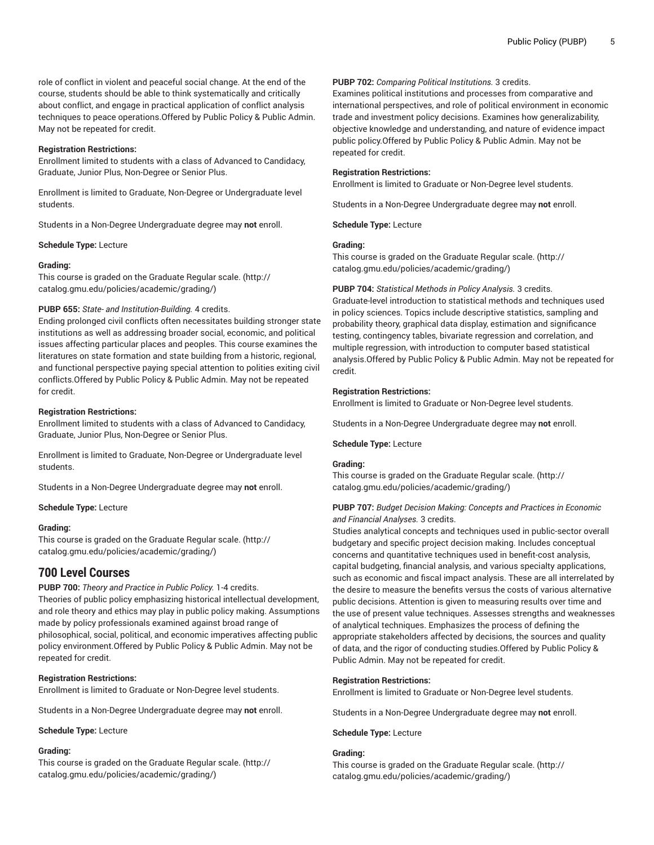role of conflict in violent and peaceful social change. At the end of the course, students should be able to think systematically and critically about conflict, and engage in practical application of conflict analysis techniques to peace operations.Offered by Public Policy & Public Admin. May not be repeated for credit.

#### **Registration Restrictions:**

Enrollment limited to students with a class of Advanced to Candidacy, Graduate, Junior Plus, Non-Degree or Senior Plus.

Enrollment is limited to Graduate, Non-Degree or Undergraduate level students.

Students in a Non-Degree Undergraduate degree may **not** enroll.

#### **Schedule Type:** Lecture

#### **Grading:**

This course is graded on the [Graduate Regular scale.](http://catalog.gmu.edu/policies/academic/grading/) [\(http://](http://catalog.gmu.edu/policies/academic/grading/) [catalog.gmu.edu/policies/academic/grading/\)](http://catalog.gmu.edu/policies/academic/grading/)

# **PUBP 655:** *State- and Institution-Building.* 4 credits.

Ending prolonged civil conflicts often necessitates building stronger state institutions as well as addressing broader social, economic, and political issues affecting particular places and peoples. This course examines the literatures on state formation and state building from a historic, regional, and functional perspective paying special attention to polities exiting civil conflicts.Offered by Public Policy & Public Admin. May not be repeated for credit.

#### **Registration Restrictions:**

Enrollment limited to students with a class of Advanced to Candidacy, Graduate, Junior Plus, Non-Degree or Senior Plus.

Enrollment is limited to Graduate, Non-Degree or Undergraduate level students.

Students in a Non-Degree Undergraduate degree may **not** enroll.

#### **Schedule Type:** Lecture

# **Grading:**

This course is graded on the [Graduate Regular scale.](http://catalog.gmu.edu/policies/academic/grading/) [\(http://](http://catalog.gmu.edu/policies/academic/grading/) [catalog.gmu.edu/policies/academic/grading/\)](http://catalog.gmu.edu/policies/academic/grading/)

# **700 Level Courses**

**PUBP 700:** *Theory and Practice in Public Policy.* 1-4 credits. Theories of public policy emphasizing historical intellectual development, and role theory and ethics may play in public policy making. Assumptions made by policy professionals examined against broad range of philosophical, social, political, and economic imperatives affecting public policy environment.Offered by Public Policy & Public Admin. May not be repeated for credit.

#### **Registration Restrictions:**

Enrollment is limited to Graduate or Non-Degree level students.

Students in a Non-Degree Undergraduate degree may **not** enroll.

**Schedule Type:** Lecture

#### **Grading:**

This course is graded on the [Graduate Regular scale.](http://catalog.gmu.edu/policies/academic/grading/) [\(http://](http://catalog.gmu.edu/policies/academic/grading/) [catalog.gmu.edu/policies/academic/grading/\)](http://catalog.gmu.edu/policies/academic/grading/)

# **PUBP 702:** *Comparing Political Institutions.* 3 credits.

Examines political institutions and processes from comparative and international perspectives, and role of political environment in economic trade and investment policy decisions. Examines how generalizability, objective knowledge and understanding, and nature of evidence impact public policy.Offered by Public Policy & Public Admin. May not be repeated for credit.

#### **Registration Restrictions:**

Enrollment is limited to Graduate or Non-Degree level students.

Students in a Non-Degree Undergraduate degree may **not** enroll.

**Schedule Type:** Lecture

## **Grading:**

This course is graded on the [Graduate Regular scale.](http://catalog.gmu.edu/policies/academic/grading/) ([http://](http://catalog.gmu.edu/policies/academic/grading/) [catalog.gmu.edu/policies/academic/grading/](http://catalog.gmu.edu/policies/academic/grading/))

**PUBP 704:** *Statistical Methods in Policy Analysis.* 3 credits.

Graduate-level introduction to statistical methods and techniques used in policy sciences. Topics include descriptive statistics, sampling and probability theory, graphical data display, estimation and significance testing, contingency tables, bivariate regression and correlation, and multiple regression, with introduction to computer based statistical analysis.Offered by Public Policy & Public Admin. May not be repeated for credit.

# **Registration Restrictions:**

Enrollment is limited to Graduate or Non-Degree level students.

Students in a Non-Degree Undergraduate degree may **not** enroll.

#### **Schedule Type:** Lecture

# **Grading:**

This course is graded on the [Graduate Regular scale.](http://catalog.gmu.edu/policies/academic/grading/) ([http://](http://catalog.gmu.edu/policies/academic/grading/) [catalog.gmu.edu/policies/academic/grading/](http://catalog.gmu.edu/policies/academic/grading/))

# **PUBP 707:** *Budget Decision Making: Concepts and Practices in Economic and Financial Analyses.* 3 credits.

Studies analytical concepts and techniques used in public-sector overall budgetary and specific project decision making. Includes conceptual concerns and quantitative techniques used in benefit-cost analysis, capital budgeting, financial analysis, and various specialty applications, such as economic and fiscal impact analysis. These are all interrelated by the desire to measure the benefits versus the costs of various alternative public decisions. Attention is given to measuring results over time and the use of present value techniques. Assesses strengths and weaknesses of analytical techniques. Emphasizes the process of defining the appropriate stakeholders affected by decisions, the sources and quality of data, and the rigor of conducting studies.Offered by Public Policy & Public Admin. May not be repeated for credit.

#### **Registration Restrictions:**

Enrollment is limited to Graduate or Non-Degree level students.

Students in a Non-Degree Undergraduate degree may **not** enroll.

**Schedule Type:** Lecture

# **Grading:**

This course is graded on the [Graduate Regular scale.](http://catalog.gmu.edu/policies/academic/grading/) ([http://](http://catalog.gmu.edu/policies/academic/grading/) [catalog.gmu.edu/policies/academic/grading/](http://catalog.gmu.edu/policies/academic/grading/))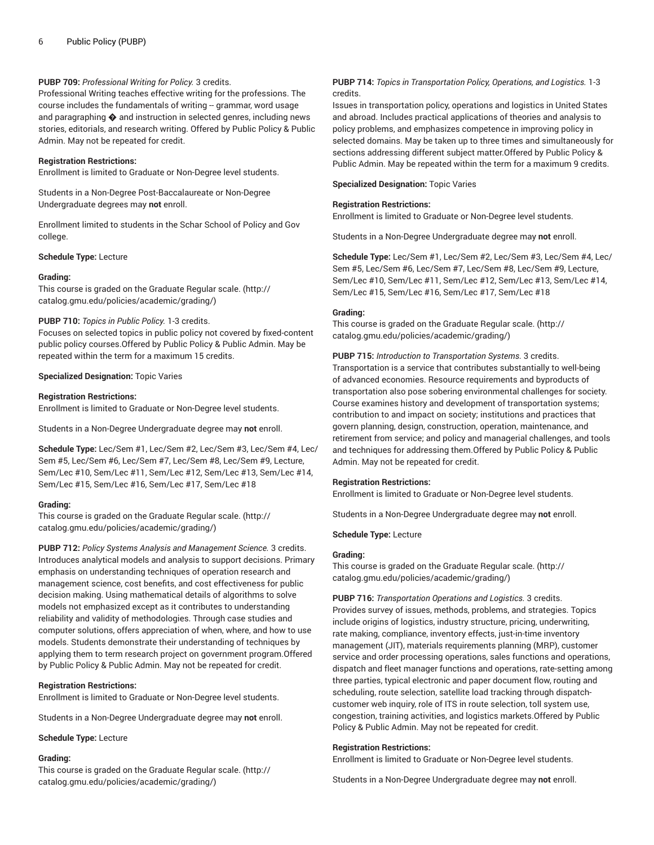# **PUBP 709:** *Professional Writing for Policy.* 3 credits.

Professional Writing teaches effective writing for the professions. The course includes the fundamentals of writing -- grammar, word usage and paragraphing  $\spadesuit$  and instruction in selected genres, including news stories, editorials, and research writing. Offered by Public Policy & Public Admin. May not be repeated for credit.

#### **Registration Restrictions:**

Enrollment is limited to Graduate or Non-Degree level students.

Students in a Non-Degree Post-Baccalaureate or Non-Degree Undergraduate degrees may **not** enroll.

Enrollment limited to students in the Schar School of Policy and Gov college.

**Schedule Type:** Lecture

#### **Grading:**

This course is graded on the [Graduate Regular scale.](http://catalog.gmu.edu/policies/academic/grading/) [\(http://](http://catalog.gmu.edu/policies/academic/grading/) [catalog.gmu.edu/policies/academic/grading/\)](http://catalog.gmu.edu/policies/academic/grading/)

# **PUBP 710:** *Topics in Public Policy.* 1-3 credits.

Focuses on selected topics in public policy not covered by fixed-content public policy courses.Offered by Public Policy & Public Admin. May be repeated within the term for a maximum 15 credits.

**Specialized Designation:** Topic Varies

#### **Registration Restrictions:**

Enrollment is limited to Graduate or Non-Degree level students.

Students in a Non-Degree Undergraduate degree may **not** enroll.

**Schedule Type:** Lec/Sem #1, Lec/Sem #2, Lec/Sem #3, Lec/Sem #4, Lec/ Sem #5, Lec/Sem #6, Lec/Sem #7, Lec/Sem #8, Lec/Sem #9, Lecture, Sem/Lec #10, Sem/Lec #11, Sem/Lec #12, Sem/Lec #13, Sem/Lec #14, Sem/Lec #15, Sem/Lec #16, Sem/Lec #17, Sem/Lec #18

# **Grading:**

This course is graded on the [Graduate Regular scale.](http://catalog.gmu.edu/policies/academic/grading/) [\(http://](http://catalog.gmu.edu/policies/academic/grading/) [catalog.gmu.edu/policies/academic/grading/\)](http://catalog.gmu.edu/policies/academic/grading/)

**PUBP 712:** *Policy Systems Analysis and Management Science.* 3 credits. Introduces analytical models and analysis to support decisions. Primary emphasis on understanding techniques of operation research and management science, cost benefits, and cost effectiveness for public decision making. Using mathematical details of algorithms to solve models not emphasized except as it contributes to understanding reliability and validity of methodologies. Through case studies and computer solutions, offers appreciation of when, where, and how to use models. Students demonstrate their understanding of techniques by applying them to term research project on government program.Offered by Public Policy & Public Admin. May not be repeated for credit.

# **Registration Restrictions:**

Enrollment is limited to Graduate or Non-Degree level students.

Students in a Non-Degree Undergraduate degree may **not** enroll.

#### **Schedule Type:** Lecture

#### **Grading:**

This course is graded on the [Graduate Regular scale.](http://catalog.gmu.edu/policies/academic/grading/) [\(http://](http://catalog.gmu.edu/policies/academic/grading/) [catalog.gmu.edu/policies/academic/grading/\)](http://catalog.gmu.edu/policies/academic/grading/)

# **PUBP 714:** *Topics in Transportation Policy, Operations, and Logistics.* 1-3 credits.

Issues in transportation policy, operations and logistics in United States and abroad. Includes practical applications of theories and analysis to policy problems, and emphasizes competence in improving policy in selected domains. May be taken up to three times and simultaneously for sections addressing different subject matter.Offered by Public Policy & Public Admin. May be repeated within the term for a maximum 9 credits.

**Specialized Designation:** Topic Varies

#### **Registration Restrictions:**

Enrollment is limited to Graduate or Non-Degree level students.

Students in a Non-Degree Undergraduate degree may **not** enroll.

**Schedule Type:** Lec/Sem #1, Lec/Sem #2, Lec/Sem #3, Lec/Sem #4, Lec/ Sem #5, Lec/Sem #6, Lec/Sem #7, Lec/Sem #8, Lec/Sem #9, Lecture, Sem/Lec #10, Sem/Lec #11, Sem/Lec #12, Sem/Lec #13, Sem/Lec #14, Sem/Lec #15, Sem/Lec #16, Sem/Lec #17, Sem/Lec #18

#### **Grading:**

This course is graded on the [Graduate Regular scale.](http://catalog.gmu.edu/policies/academic/grading/) ([http://](http://catalog.gmu.edu/policies/academic/grading/) [catalog.gmu.edu/policies/academic/grading/](http://catalog.gmu.edu/policies/academic/grading/))

**PUBP 715:** *Introduction to Transportation Systems.* 3 credits. Transportation is a service that contributes substantially to well-being of advanced economies. Resource requirements and byproducts of transportation also pose sobering environmental challenges for society. Course examines history and development of transportation systems; contribution to and impact on society; institutions and practices that govern planning, design, construction, operation, maintenance, and retirement from service; and policy and managerial challenges, and tools and techniques for addressing them.Offered by Public Policy & Public Admin. May not be repeated for credit.

#### **Registration Restrictions:**

Enrollment is limited to Graduate or Non-Degree level students.

Students in a Non-Degree Undergraduate degree may **not** enroll.

**Schedule Type:** Lecture

#### **Grading:**

This course is graded on the [Graduate Regular scale.](http://catalog.gmu.edu/policies/academic/grading/) ([http://](http://catalog.gmu.edu/policies/academic/grading/) [catalog.gmu.edu/policies/academic/grading/](http://catalog.gmu.edu/policies/academic/grading/))

**PUBP 716:** *Transportation Operations and Logistics.* 3 credits. Provides survey of issues, methods, problems, and strategies. Topics include origins of logistics, industry structure, pricing, underwriting, rate making, compliance, inventory effects, just-in-time inventory management (JIT), materials requirements planning (MRP), customer service and order processing operations, sales functions and operations, dispatch and fleet manager functions and operations, rate-setting among three parties, typical electronic and paper document flow, routing and scheduling, route selection, satellite load tracking through dispatchcustomer web inquiry, role of ITS in route selection, toll system use, congestion, training activities, and logistics markets.Offered by Public Policy & Public Admin. May not be repeated for credit.

# **Registration Restrictions:**

Enrollment is limited to Graduate or Non-Degree level students.

Students in a Non-Degree Undergraduate degree may **not** enroll.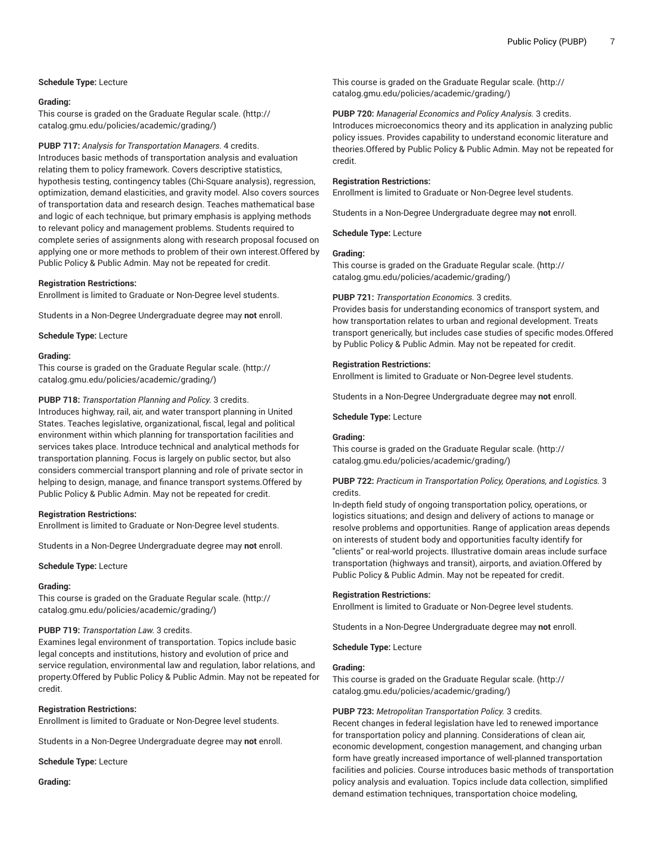# **Schedule Type:** Lecture

# **Grading:**

This course is graded on the [Graduate Regular scale.](http://catalog.gmu.edu/policies/academic/grading/) [\(http://](http://catalog.gmu.edu/policies/academic/grading/) [catalog.gmu.edu/policies/academic/grading/\)](http://catalog.gmu.edu/policies/academic/grading/)

**PUBP 717:** *Analysis for Transportation Managers.* 4 credits.

Introduces basic methods of transportation analysis and evaluation relating them to policy framework. Covers descriptive statistics, hypothesis testing, contingency tables (Chi-Square analysis), regression, optimization, demand elasticities, and gravity model. Also covers sources of transportation data and research design. Teaches mathematical base and logic of each technique, but primary emphasis is applying methods to relevant policy and management problems. Students required to complete series of assignments along with research proposal focused on applying one or more methods to problem of their own interest.Offered by Public Policy & Public Admin. May not be repeated for credit.

#### **Registration Restrictions:**

Enrollment is limited to Graduate or Non-Degree level students.

Students in a Non-Degree Undergraduate degree may **not** enroll.

**Schedule Type:** Lecture

#### **Grading:**

This course is graded on the [Graduate Regular scale.](http://catalog.gmu.edu/policies/academic/grading/) [\(http://](http://catalog.gmu.edu/policies/academic/grading/) [catalog.gmu.edu/policies/academic/grading/\)](http://catalog.gmu.edu/policies/academic/grading/)

#### **PUBP 718:** *Transportation Planning and Policy.* 3 credits.

Introduces highway, rail, air, and water transport planning in United States. Teaches legislative, organizational, fiscal, legal and political environment within which planning for transportation facilities and services takes place. Introduce technical and analytical methods for transportation planning. Focus is largely on public sector, but also considers commercial transport planning and role of private sector in helping to design, manage, and finance transport systems.Offered by Public Policy & Public Admin. May not be repeated for credit.

#### **Registration Restrictions:**

Enrollment is limited to Graduate or Non-Degree level students.

Students in a Non-Degree Undergraduate degree may **not** enroll.

#### **Schedule Type:** Lecture

#### **Grading:**

This course is graded on the [Graduate Regular scale.](http://catalog.gmu.edu/policies/academic/grading/) [\(http://](http://catalog.gmu.edu/policies/academic/grading/) [catalog.gmu.edu/policies/academic/grading/\)](http://catalog.gmu.edu/policies/academic/grading/)

# **PUBP 719:** *Transportation Law.* 3 credits.

Examines legal environment of transportation. Topics include basic legal concepts and institutions, history and evolution of price and service regulation, environmental law and regulation, labor relations, and property.Offered by Public Policy & Public Admin. May not be repeated for credit.

#### **Registration Restrictions:**

Enrollment is limited to Graduate or Non-Degree level students.

Students in a Non-Degree Undergraduate degree may **not** enroll.

**Schedule Type:** Lecture

**Grading:**

This course is graded on the [Graduate Regular scale.](http://catalog.gmu.edu/policies/academic/grading/) ([http://](http://catalog.gmu.edu/policies/academic/grading/) [catalog.gmu.edu/policies/academic/grading/](http://catalog.gmu.edu/policies/academic/grading/))

# **PUBP 720:** *Managerial Economics and Policy Analysis.* 3 credits.

Introduces microeconomics theory and its application in analyzing public policy issues. Provides capability to understand economic literature and theories.Offered by Public Policy & Public Admin. May not be repeated for credit.

#### **Registration Restrictions:**

Enrollment is limited to Graduate or Non-Degree level students.

Students in a Non-Degree Undergraduate degree may **not** enroll.

**Schedule Type:** Lecture

# **Grading:**

This course is graded on the [Graduate Regular scale.](http://catalog.gmu.edu/policies/academic/grading/) ([http://](http://catalog.gmu.edu/policies/academic/grading/) [catalog.gmu.edu/policies/academic/grading/](http://catalog.gmu.edu/policies/academic/grading/))

#### **PUBP 721:** *Transportation Economics.* 3 credits.

Provides basis for understanding economics of transport system, and how transportation relates to urban and regional development. Treats transport generically, but includes case studies of specific modes.Offered by Public Policy & Public Admin. May not be repeated for credit.

#### **Registration Restrictions:**

Enrollment is limited to Graduate or Non-Degree level students.

Students in a Non-Degree Undergraduate degree may **not** enroll.

**Schedule Type:** Lecture

# **Grading:**

This course is graded on the [Graduate Regular scale.](http://catalog.gmu.edu/policies/academic/grading/) ([http://](http://catalog.gmu.edu/policies/academic/grading/) [catalog.gmu.edu/policies/academic/grading/](http://catalog.gmu.edu/policies/academic/grading/))

# **PUBP 722:** *Practicum in Transportation Policy, Operations, and Logistics.* 3 credits.

In-depth field study of ongoing transportation policy, operations, or logistics situations; and design and delivery of actions to manage or resolve problems and opportunities. Range of application areas depends on interests of student body and opportunities faculty identify for "clients" or real-world projects. Illustrative domain areas include surface transportation (highways and transit), airports, and aviation.Offered by Public Policy & Public Admin. May not be repeated for credit.

#### **Registration Restrictions:**

Enrollment is limited to Graduate or Non-Degree level students.

Students in a Non-Degree Undergraduate degree may **not** enroll.

**Schedule Type:** Lecture

## **Grading:**

This course is graded on the [Graduate Regular scale.](http://catalog.gmu.edu/policies/academic/grading/) ([http://](http://catalog.gmu.edu/policies/academic/grading/) [catalog.gmu.edu/policies/academic/grading/](http://catalog.gmu.edu/policies/academic/grading/))

# **PUBP 723:** *Metropolitan Transportation Policy.* 3 credits.

Recent changes in federal legislation have led to renewed importance for transportation policy and planning. Considerations of clean air, economic development, congestion management, and changing urban form have greatly increased importance of well-planned transportation facilities and policies. Course introduces basic methods of transportation policy analysis and evaluation. Topics include data collection, simplified demand estimation techniques, transportation choice modeling,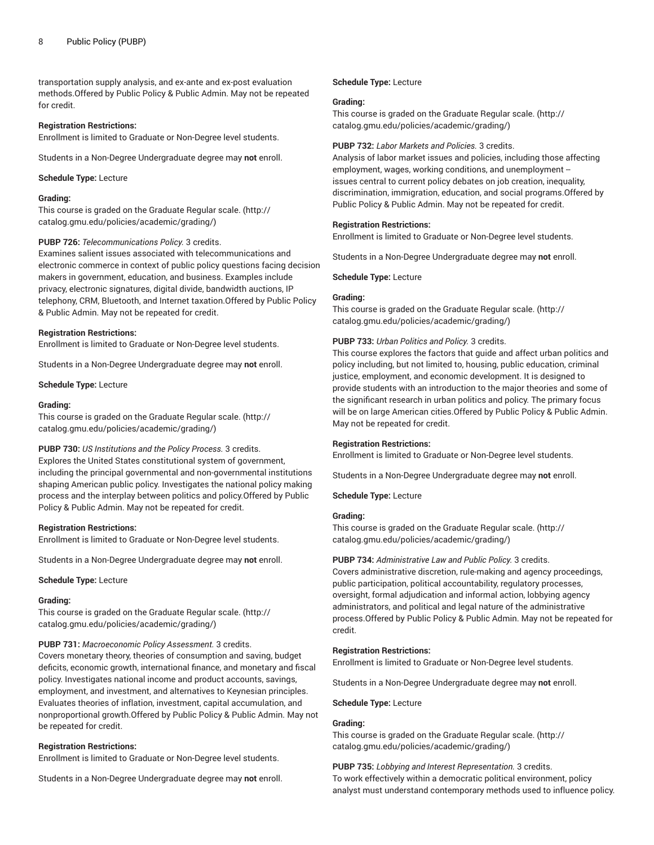transportation supply analysis, and ex-ante and ex-post evaluation methods.Offered by Public Policy & Public Admin. May not be repeated for credit.

# **Registration Restrictions:**

Enrollment is limited to Graduate or Non-Degree level students.

Students in a Non-Degree Undergraduate degree may **not** enroll.

**Schedule Type:** Lecture

#### **Grading:**

This course is graded on the [Graduate Regular scale.](http://catalog.gmu.edu/policies/academic/grading/) [\(http://](http://catalog.gmu.edu/policies/academic/grading/) [catalog.gmu.edu/policies/academic/grading/\)](http://catalog.gmu.edu/policies/academic/grading/)

#### **PUBP 726:** *Telecommunications Policy.* 3 credits.

Examines salient issues associated with telecommunications and electronic commerce in context of public policy questions facing decision makers in government, education, and business. Examples include privacy, electronic signatures, digital divide, bandwidth auctions, IP telephony, CRM, Bluetooth, and Internet taxation.Offered by Public Policy & Public Admin. May not be repeated for credit.

#### **Registration Restrictions:**

Enrollment is limited to Graduate or Non-Degree level students.

Students in a Non-Degree Undergraduate degree may **not** enroll.

**Schedule Type:** Lecture

#### **Grading:**

This course is graded on the [Graduate Regular scale.](http://catalog.gmu.edu/policies/academic/grading/) [\(http://](http://catalog.gmu.edu/policies/academic/grading/) [catalog.gmu.edu/policies/academic/grading/\)](http://catalog.gmu.edu/policies/academic/grading/)

# **PUBP 730:** *US Institutions and the Policy Process.* 3 credits.

Explores the United States constitutional system of government, including the principal governmental and non-governmental institutions shaping American public policy. Investigates the national policy making process and the interplay between politics and policy.Offered by Public Policy & Public Admin. May not be repeated for credit.

#### **Registration Restrictions:**

Enrollment is limited to Graduate or Non-Degree level students.

Students in a Non-Degree Undergraduate degree may **not** enroll.

**Schedule Type:** Lecture

#### **Grading:**

This course is graded on the [Graduate Regular scale.](http://catalog.gmu.edu/policies/academic/grading/) [\(http://](http://catalog.gmu.edu/policies/academic/grading/) [catalog.gmu.edu/policies/academic/grading/\)](http://catalog.gmu.edu/policies/academic/grading/)

#### **PUBP 731:** *Macroeconomic Policy Assessment.* 3 credits.

Covers monetary theory, theories of consumption and saving, budget deficits, economic growth, international finance, and monetary and fiscal policy. Investigates national income and product accounts, savings, employment, and investment, and alternatives to Keynesian principles. Evaluates theories of inflation, investment, capital accumulation, and nonproportional growth.Offered by Public Policy & Public Admin. May not be repeated for credit.

# **Registration Restrictions:**

Enrollment is limited to Graduate or Non-Degree level students.

Students in a Non-Degree Undergraduate degree may **not** enroll.

**Schedule Type:** Lecture

# **Grading:**

This course is graded on the [Graduate Regular scale.](http://catalog.gmu.edu/policies/academic/grading/) ([http://](http://catalog.gmu.edu/policies/academic/grading/) [catalog.gmu.edu/policies/academic/grading/](http://catalog.gmu.edu/policies/academic/grading/))

#### **PUBP 732:** *Labor Markets and Policies.* 3 credits.

Analysis of labor market issues and policies, including those affecting employment, wages, working conditions, and unemployment - issues central to current policy debates on job creation, inequality, discrimination, immigration, education, and social programs.Offered by Public Policy & Public Admin. May not be repeated for credit.

#### **Registration Restrictions:**

Enrollment is limited to Graduate or Non-Degree level students.

Students in a Non-Degree Undergraduate degree may **not** enroll.

**Schedule Type:** Lecture

# **Grading:**

This course is graded on the [Graduate Regular scale.](http://catalog.gmu.edu/policies/academic/grading/) ([http://](http://catalog.gmu.edu/policies/academic/grading/) [catalog.gmu.edu/policies/academic/grading/](http://catalog.gmu.edu/policies/academic/grading/))

#### **PUBP 733:** *Urban Politics and Policy.* 3 credits.

This course explores the factors that guide and affect urban politics and policy including, but not limited to, housing, public education, criminal justice, employment, and economic development. It is designed to provide students with an introduction to the major theories and some of the significant research in urban politics and policy. The primary focus will be on large American cities.Offered by Public Policy & Public Admin. May not be repeated for credit.

#### **Registration Restrictions:**

Enrollment is limited to Graduate or Non-Degree level students.

Students in a Non-Degree Undergraduate degree may **not** enroll.

**Schedule Type:** Lecture

#### **Grading:**

This course is graded on the [Graduate Regular scale.](http://catalog.gmu.edu/policies/academic/grading/) ([http://](http://catalog.gmu.edu/policies/academic/grading/) [catalog.gmu.edu/policies/academic/grading/](http://catalog.gmu.edu/policies/academic/grading/))

# **PUBP 734:** *Administrative Law and Public Policy.* 3 credits.

Covers administrative discretion, rule-making and agency proceedings, public participation, political accountability, regulatory processes, oversight, formal adjudication and informal action, lobbying agency administrators, and political and legal nature of the administrative process.Offered by Public Policy & Public Admin. May not be repeated for credit.

# **Registration Restrictions:**

Enrollment is limited to Graduate or Non-Degree level students.

Students in a Non-Degree Undergraduate degree may **not** enroll.

**Schedule Type:** Lecture

# **Grading:**

This course is graded on the [Graduate Regular scale.](http://catalog.gmu.edu/policies/academic/grading/) ([http://](http://catalog.gmu.edu/policies/academic/grading/) [catalog.gmu.edu/policies/academic/grading/](http://catalog.gmu.edu/policies/academic/grading/))

# **PUBP 735:** *Lobbying and Interest Representation.* 3 credits.

To work effectively within a democratic political environment, policy analyst must understand contemporary methods used to influence policy.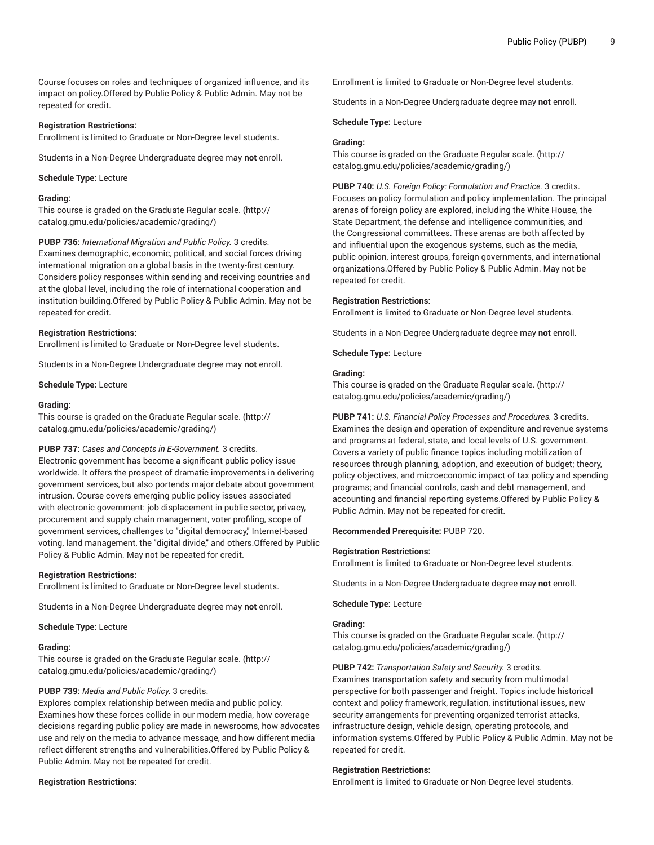Course focuses on roles and techniques of organized influence, and its impact on policy.Offered by Public Policy & Public Admin. May not be repeated for credit.

# **Registration Restrictions:**

Enrollment is limited to Graduate or Non-Degree level students.

Students in a Non-Degree Undergraduate degree may **not** enroll.

#### **Schedule Type:** Lecture

# **Grading:**

This course is graded on the [Graduate Regular scale.](http://catalog.gmu.edu/policies/academic/grading/) [\(http://](http://catalog.gmu.edu/policies/academic/grading/) [catalog.gmu.edu/policies/academic/grading/\)](http://catalog.gmu.edu/policies/academic/grading/)

**PUBP 736:** *International Migration and Public Policy.* 3 credits. Examines demographic, economic, political, and social forces driving international migration on a global basis in the twenty-first century. Considers policy responses within sending and receiving countries and at the global level, including the role of international cooperation and institution-building.Offered by Public Policy & Public Admin. May not be repeated for credit.

# **Registration Restrictions:**

Enrollment is limited to Graduate or Non-Degree level students.

Students in a Non-Degree Undergraduate degree may **not** enroll.

**Schedule Type:** Lecture

#### **Grading:**

This course is graded on the [Graduate Regular scale.](http://catalog.gmu.edu/policies/academic/grading/) [\(http://](http://catalog.gmu.edu/policies/academic/grading/) [catalog.gmu.edu/policies/academic/grading/\)](http://catalog.gmu.edu/policies/academic/grading/)

#### **PUBP 737:** *Cases and Concepts in E-Government.* 3 credits.

Electronic government has become a significant public policy issue worldwide. It offers the prospect of dramatic improvements in delivering government services, but also portends major debate about government intrusion. Course covers emerging public policy issues associated with electronic government: job displacement in public sector, privacy, procurement and supply chain management, voter profiling, scope of government services, challenges to "digital democracy," Internet-based voting, land management, the "digital divide," and others.Offered by Public Policy & Public Admin. May not be repeated for credit.

#### **Registration Restrictions:**

Enrollment is limited to Graduate or Non-Degree level students.

Students in a Non-Degree Undergraduate degree may **not** enroll.

**Schedule Type:** Lecture

#### **Grading:**

This course is graded on the [Graduate Regular scale.](http://catalog.gmu.edu/policies/academic/grading/) [\(http://](http://catalog.gmu.edu/policies/academic/grading/) [catalog.gmu.edu/policies/academic/grading/\)](http://catalog.gmu.edu/policies/academic/grading/)

# **PUBP 739:** *Media and Public Policy.* 3 credits.

Explores complex relationship between media and public policy. Examines how these forces collide in our modern media, how coverage decisions regarding public policy are made in newsrooms, how advocates use and rely on the media to advance message, and how different media reflect different strengths and vulnerabilities.Offered by Public Policy & Public Admin. May not be repeated for credit.

#### **Registration Restrictions:**

Enrollment is limited to Graduate or Non-Degree level students.

Students in a Non-Degree Undergraduate degree may **not** enroll.

**Schedule Type:** Lecture

# **Grading:**

This course is graded on the [Graduate Regular scale.](http://catalog.gmu.edu/policies/academic/grading/) ([http://](http://catalog.gmu.edu/policies/academic/grading/) [catalog.gmu.edu/policies/academic/grading/](http://catalog.gmu.edu/policies/academic/grading/))

**PUBP 740:** *U.S. Foreign Policy: Formulation and Practice.* 3 credits. Focuses on policy formulation and policy implementation. The principal arenas of foreign policy are explored, including the White House, the State Department, the defense and intelligence communities, and the Congressional committees. These arenas are both affected by and influential upon the exogenous systems, such as the media, public opinion, interest groups, foreign governments, and international organizations.Offered by Public Policy & Public Admin. May not be repeated for credit.

#### **Registration Restrictions:**

Enrollment is limited to Graduate or Non-Degree level students.

Students in a Non-Degree Undergraduate degree may **not** enroll.

**Schedule Type:** Lecture

#### **Grading:**

This course is graded on the [Graduate Regular scale.](http://catalog.gmu.edu/policies/academic/grading/) ([http://](http://catalog.gmu.edu/policies/academic/grading/) [catalog.gmu.edu/policies/academic/grading/](http://catalog.gmu.edu/policies/academic/grading/))

**PUBP 741:** *U.S. Financial Policy Processes and Procedures.* 3 credits. Examines the design and operation of expenditure and revenue systems and programs at federal, state, and local levels of U.S. government. Covers a variety of public finance topics including mobilization of resources through planning, adoption, and execution of budget; theory, policy objectives, and microeconomic impact of tax policy and spending programs; and financial controls, cash and debt management, and accounting and financial reporting systems.Offered by Public Policy & Public Admin. May not be repeated for credit.

**Recommended Prerequisite:** PUBP 720.

# **Registration Restrictions:**

Enrollment is limited to Graduate or Non-Degree level students.

Students in a Non-Degree Undergraduate degree may **not** enroll.

**Schedule Type:** Lecture

#### **Grading:**

This course is graded on the [Graduate Regular scale.](http://catalog.gmu.edu/policies/academic/grading/) ([http://](http://catalog.gmu.edu/policies/academic/grading/) [catalog.gmu.edu/policies/academic/grading/](http://catalog.gmu.edu/policies/academic/grading/))

**PUBP 742:** *Transportation Safety and Security.* 3 credits. Examines transportation safety and security from multimodal perspective for both passenger and freight. Topics include historical context and policy framework, regulation, institutional issues, new security arrangements for preventing organized terrorist attacks, infrastructure design, vehicle design, operating protocols, and information systems.Offered by Public Policy & Public Admin. May not be repeated for credit.

#### **Registration Restrictions:**

Enrollment is limited to Graduate or Non-Degree level students.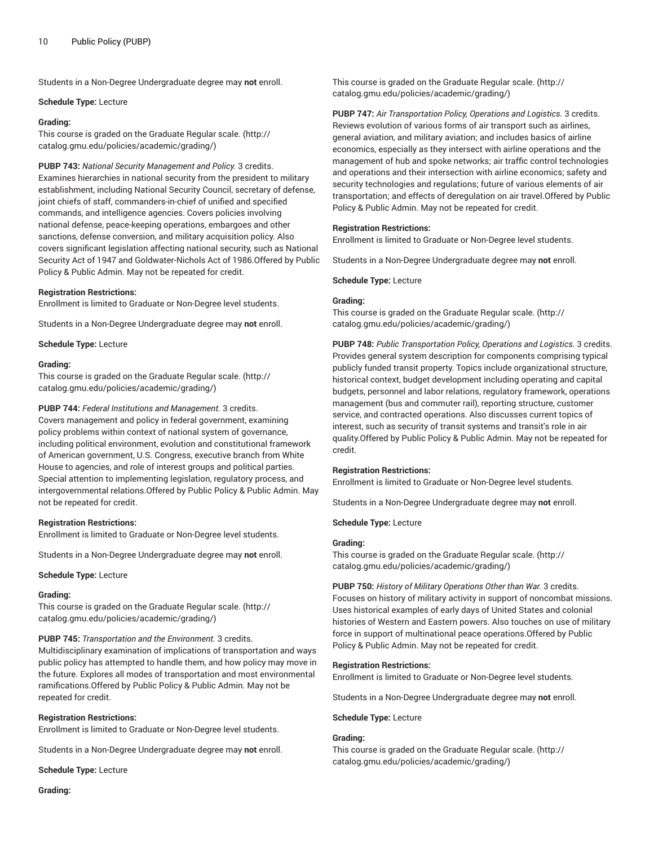#### **Schedule Type:** Lecture

## **Grading:**

This course is graded on the [Graduate Regular scale.](http://catalog.gmu.edu/policies/academic/grading/) [\(http://](http://catalog.gmu.edu/policies/academic/grading/) [catalog.gmu.edu/policies/academic/grading/\)](http://catalog.gmu.edu/policies/academic/grading/)

**PUBP 743:** *National Security Management and Policy.* 3 credits. Examines hierarchies in national security from the president to military establishment, including National Security Council, secretary of defense, joint chiefs of staff, commanders-in-chief of unified and specified commands, and intelligence agencies. Covers policies involving national defense, peace-keeping operations, embargoes and other sanctions, defense conversion, and military acquisition policy. Also covers significant legislation affecting national security, such as National Security Act of 1947 and Goldwater-Nichols Act of 1986.Offered by Public Policy & Public Admin. May not be repeated for credit.

# **Registration Restrictions:**

Enrollment is limited to Graduate or Non-Degree level students.

Students in a Non-Degree Undergraduate degree may **not** enroll.

**Schedule Type:** Lecture

#### **Grading:**

This course is graded on the [Graduate Regular scale.](http://catalog.gmu.edu/policies/academic/grading/) [\(http://](http://catalog.gmu.edu/policies/academic/grading/) [catalog.gmu.edu/policies/academic/grading/\)](http://catalog.gmu.edu/policies/academic/grading/)

**PUBP 744:** *Federal Institutions and Management.* 3 credits.

Covers management and policy in federal government, examining policy problems within context of national system of governance, including political environment, evolution and constitutional framework of American government, U.S. Congress, executive branch from White House to agencies, and role of interest groups and political parties. Special attention to implementing legislation, regulatory process, and intergovernmental relations.Offered by Public Policy & Public Admin. May not be repeated for credit.

# **Registration Restrictions:**

Enrollment is limited to Graduate or Non-Degree level students.

Students in a Non-Degree Undergraduate degree may **not** enroll.

#### **Schedule Type:** Lecture

#### **Grading:**

This course is graded on the [Graduate Regular scale.](http://catalog.gmu.edu/policies/academic/grading/) [\(http://](http://catalog.gmu.edu/policies/academic/grading/) [catalog.gmu.edu/policies/academic/grading/\)](http://catalog.gmu.edu/policies/academic/grading/)

# **PUBP 745:** *Transportation and the Environment.* 3 credits.

Multidisciplinary examination of implications of transportation and ways public policy has attempted to handle them, and how policy may move in the future. Explores all modes of transportation and most environmental ramifications.Offered by Public Policy & Public Admin. May not be repeated for credit.

#### **Registration Restrictions:**

Enrollment is limited to Graduate or Non-Degree level students.

Students in a Non-Degree Undergraduate degree may **not** enroll.

**Schedule Type:** Lecture

This course is graded on the [Graduate Regular scale.](http://catalog.gmu.edu/policies/academic/grading/) ([http://](http://catalog.gmu.edu/policies/academic/grading/) [catalog.gmu.edu/policies/academic/grading/](http://catalog.gmu.edu/policies/academic/grading/))

**PUBP 747:** *Air Transportation Policy, Operations and Logistics.* 3 credits. Reviews evolution of various forms of air transport such as airlines, general aviation, and military aviation; and includes basics of airline economics, especially as they intersect with airline operations and the management of hub and spoke networks; air traffic control technologies and operations and their intersection with airline economics; safety and security technologies and regulations; future of various elements of air transportation; and effects of deregulation on air travel.Offered by Public Policy & Public Admin. May not be repeated for credit.

# **Registration Restrictions:**

Enrollment is limited to Graduate or Non-Degree level students.

Students in a Non-Degree Undergraduate degree may **not** enroll.

**Schedule Type:** Lecture

# **Grading:**

This course is graded on the [Graduate Regular scale.](http://catalog.gmu.edu/policies/academic/grading/) ([http://](http://catalog.gmu.edu/policies/academic/grading/) [catalog.gmu.edu/policies/academic/grading/](http://catalog.gmu.edu/policies/academic/grading/))

**PUBP 748:** *Public Transportation Policy, Operations and Logistics.* 3 credits. Provides general system description for components comprising typical publicly funded transit property. Topics include organizational structure, historical context, budget development including operating and capital budgets, personnel and labor relations, regulatory framework, operations management (bus and commuter rail), reporting structure, customer service, and contracted operations. Also discusses current topics of interest, such as security of transit systems and transit's role in air quality.Offered by Public Policy & Public Admin. May not be repeated for credit.

# **Registration Restrictions:**

Enrollment is limited to Graduate or Non-Degree level students.

Students in a Non-Degree Undergraduate degree may **not** enroll.

**Schedule Type:** Lecture

# **Grading:**

This course is graded on the [Graduate Regular scale.](http://catalog.gmu.edu/policies/academic/grading/) ([http://](http://catalog.gmu.edu/policies/academic/grading/) [catalog.gmu.edu/policies/academic/grading/](http://catalog.gmu.edu/policies/academic/grading/))

**PUBP 750:** *History of Military Operations Other than War.* 3 credits. Focuses on history of military activity in support of noncombat missions. Uses historical examples of early days of United States and colonial histories of Western and Eastern powers. Also touches on use of military force in support of multinational peace operations.Offered by Public Policy & Public Admin. May not be repeated for credit.

# **Registration Restrictions:**

Enrollment is limited to Graduate or Non-Degree level students.

Students in a Non-Degree Undergraduate degree may **not** enroll.

#### **Schedule Type:** Lecture

# **Grading:**

This course is graded on the [Graduate Regular scale.](http://catalog.gmu.edu/policies/academic/grading/) ([http://](http://catalog.gmu.edu/policies/academic/grading/) [catalog.gmu.edu/policies/academic/grading/](http://catalog.gmu.edu/policies/academic/grading/))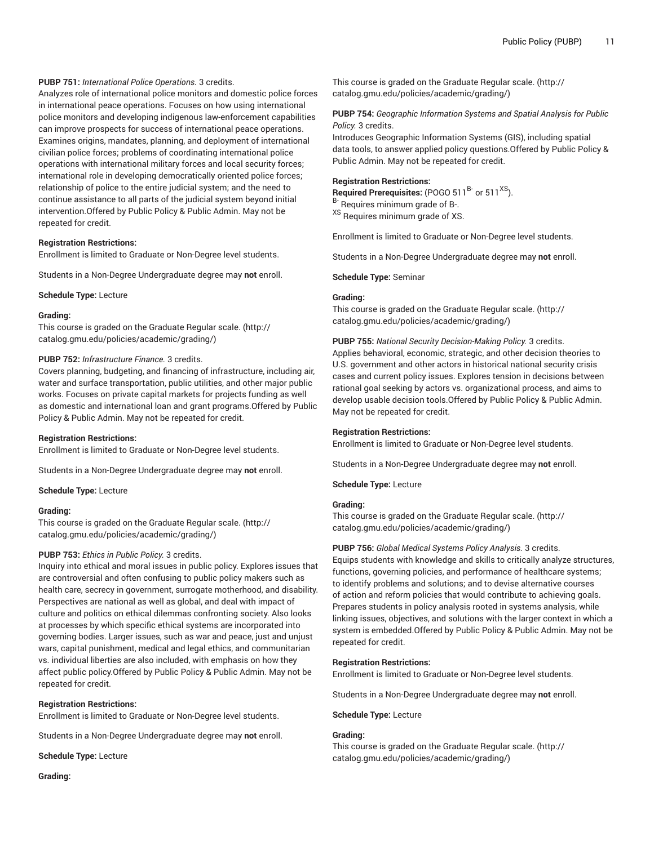# **PUBP 751:** *International Police Operations.* 3 credits.

Analyzes role of international police monitors and domestic police forces in international peace operations. Focuses on how using international police monitors and developing indigenous law-enforcement capabilities can improve prospects for success of international peace operations. Examines origins, mandates, planning, and deployment of international civilian police forces; problems of coordinating international police operations with international military forces and local security forces; international role in developing democratically oriented police forces; relationship of police to the entire judicial system; and the need to continue assistance to all parts of the judicial system beyond initial intervention.Offered by Public Policy & Public Admin. May not be repeated for credit.

# **Registration Restrictions:**

Enrollment is limited to Graduate or Non-Degree level students.

Students in a Non-Degree Undergraduate degree may **not** enroll.

**Schedule Type:** Lecture

#### **Grading:**

This course is graded on the [Graduate Regular scale.](http://catalog.gmu.edu/policies/academic/grading/) [\(http://](http://catalog.gmu.edu/policies/academic/grading/) [catalog.gmu.edu/policies/academic/grading/\)](http://catalog.gmu.edu/policies/academic/grading/)

# **PUBP 752:** *Infrastructure Finance.* 3 credits.

Covers planning, budgeting, and financing of infrastructure, including air, water and surface transportation, public utilities, and other major public works. Focuses on private capital markets for projects funding as well as domestic and international loan and grant programs.Offered by Public Policy & Public Admin. May not be repeated for credit.

#### **Registration Restrictions:**

Enrollment is limited to Graduate or Non-Degree level students.

Students in a Non-Degree Undergraduate degree may **not** enroll.

**Schedule Type:** Lecture

# **Grading:**

This course is graded on the [Graduate Regular scale.](http://catalog.gmu.edu/policies/academic/grading/) [\(http://](http://catalog.gmu.edu/policies/academic/grading/) [catalog.gmu.edu/policies/academic/grading/\)](http://catalog.gmu.edu/policies/academic/grading/)

# **PUBP 753:** *Ethics in Public Policy.* 3 credits.

Inquiry into ethical and moral issues in public policy. Explores issues that are controversial and often confusing to public policy makers such as health care, secrecy in government, surrogate motherhood, and disability. Perspectives are national as well as global, and deal with impact of culture and politics on ethical dilemmas confronting society. Also looks at processes by which specific ethical systems are incorporated into governing bodies. Larger issues, such as war and peace, just and unjust wars, capital punishment, medical and legal ethics, and communitarian vs. individual liberties are also included, with emphasis on how they affect public policy.Offered by Public Policy & Public Admin. May not be repeated for credit.

# **Registration Restrictions:**

Enrollment is limited to Graduate or Non-Degree level students.

Students in a Non-Degree Undergraduate degree may **not** enroll.

**Schedule Type:** Lecture

**Grading:**

This course is graded on the [Graduate Regular scale.](http://catalog.gmu.edu/policies/academic/grading/) ([http://](http://catalog.gmu.edu/policies/academic/grading/) [catalog.gmu.edu/policies/academic/grading/](http://catalog.gmu.edu/policies/academic/grading/))

**PUBP 754:** *Geographic Information Systems and Spatial Analysis for Public Policy.* 3 credits.

Introduces Geographic Information Systems (GIS), including spatial data tools, to answer applied policy questions.Offered by Public Policy & Public Admin. May not be repeated for credit.

# **Registration Restrictions:**

**Required Prerequisites:** (POGO 511<sup>B-</sup> or 511<sup>XS</sup>). <sup>B-</sup> Requires minimum grade of B-.

XS Requires minimum grade of XS.

Enrollment is limited to Graduate or Non-Degree level students.

Students in a Non-Degree Undergraduate degree may **not** enroll.

**Schedule Type:** Seminar

# **Grading:**

This course is graded on the [Graduate Regular scale.](http://catalog.gmu.edu/policies/academic/grading/) ([http://](http://catalog.gmu.edu/policies/academic/grading/) [catalog.gmu.edu/policies/academic/grading/](http://catalog.gmu.edu/policies/academic/grading/))

#### **PUBP 755:** *National Security Decision-Making Policy.* 3 credits.

Applies behavioral, economic, strategic, and other decision theories to U.S. government and other actors in historical national security crisis cases and current policy issues. Explores tension in decisions between rational goal seeking by actors vs. organizational process, and aims to develop usable decision tools.Offered by Public Policy & Public Admin. May not be repeated for credit.

#### **Registration Restrictions:**

Enrollment is limited to Graduate or Non-Degree level students.

Students in a Non-Degree Undergraduate degree may **not** enroll.

**Schedule Type:** Lecture

# **Grading:**

This course is graded on the [Graduate Regular scale.](http://catalog.gmu.edu/policies/academic/grading/) ([http://](http://catalog.gmu.edu/policies/academic/grading/) [catalog.gmu.edu/policies/academic/grading/](http://catalog.gmu.edu/policies/academic/grading/))

#### **PUBP 756:** *Global Medical Systems Policy Analysis.* 3 credits.

Equips students with knowledge and skills to critically analyze structures, functions, governing policies, and performance of healthcare systems; to identify problems and solutions; and to devise alternative courses of action and reform policies that would contribute to achieving goals. Prepares students in policy analysis rooted in systems analysis, while linking issues, objectives, and solutions with the larger context in which a system is embedded.Offered by Public Policy & Public Admin. May not be repeated for credit.

#### **Registration Restrictions:**

Enrollment is limited to Graduate or Non-Degree level students.

Students in a Non-Degree Undergraduate degree may **not** enroll.

#### **Schedule Type:** Lecture

# **Grading:**

This course is graded on the [Graduate Regular scale.](http://catalog.gmu.edu/policies/academic/grading/) ([http://](http://catalog.gmu.edu/policies/academic/grading/) [catalog.gmu.edu/policies/academic/grading/](http://catalog.gmu.edu/policies/academic/grading/))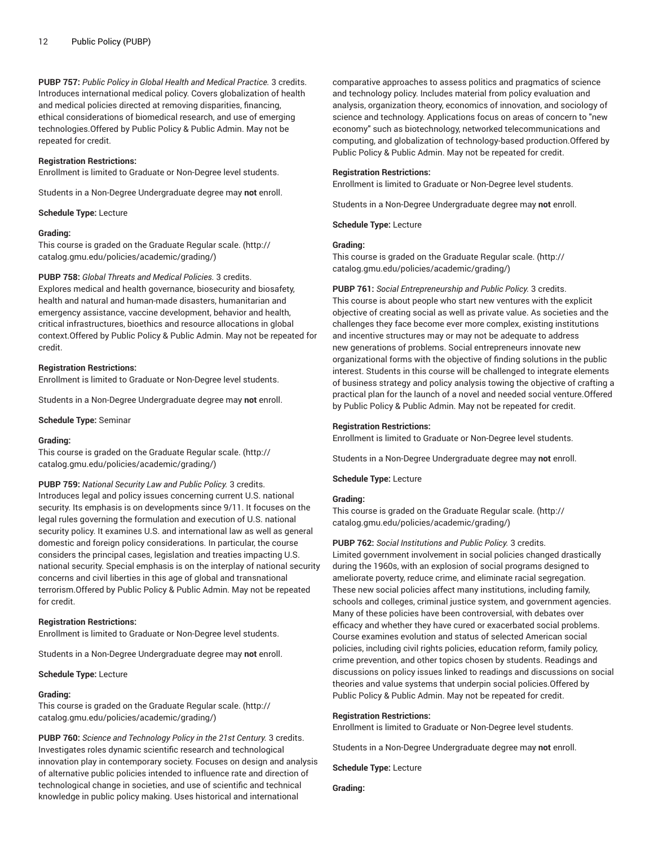**PUBP 757:** *Public Policy in Global Health and Medical Practice.* 3 credits. Introduces international medical policy. Covers globalization of health and medical policies directed at removing disparities, financing, ethical considerations of biomedical research, and use of emerging technologies.Offered by Public Policy & Public Admin. May not be repeated for credit.

#### **Registration Restrictions:**

Enrollment is limited to Graduate or Non-Degree level students.

Students in a Non-Degree Undergraduate degree may **not** enroll.

**Schedule Type:** Lecture

#### **Grading:**

This course is graded on the [Graduate Regular scale.](http://catalog.gmu.edu/policies/academic/grading/) [\(http://](http://catalog.gmu.edu/policies/academic/grading/) [catalog.gmu.edu/policies/academic/grading/\)](http://catalog.gmu.edu/policies/academic/grading/)

#### **PUBP 758:** *Global Threats and Medical Policies.* 3 credits.

Explores medical and health governance, biosecurity and biosafety, health and natural and human-made disasters, humanitarian and emergency assistance, vaccine development, behavior and health, critical infrastructures, bioethics and resource allocations in global context.Offered by Public Policy & Public Admin. May not be repeated for credit.

#### **Registration Restrictions:**

Enrollment is limited to Graduate or Non-Degree level students.

Students in a Non-Degree Undergraduate degree may **not** enroll.

**Schedule Type:** Seminar

#### **Grading:**

This course is graded on the [Graduate Regular scale.](http://catalog.gmu.edu/policies/academic/grading/) [\(http://](http://catalog.gmu.edu/policies/academic/grading/) [catalog.gmu.edu/policies/academic/grading/\)](http://catalog.gmu.edu/policies/academic/grading/)

**PUBP 759:** *National Security Law and Public Policy.* 3 credits.

Introduces legal and policy issues concerning current U.S. national security. Its emphasis is on developments since 9/11. It focuses on the legal rules governing the formulation and execution of U.S. national security policy. It examines U.S. and international law as well as general domestic and foreign policy considerations. In particular, the course considers the principal cases, legislation and treaties impacting U.S. national security. Special emphasis is on the interplay of national security concerns and civil liberties in this age of global and transnational terrorism.Offered by Public Policy & Public Admin. May not be repeated for credit.

#### **Registration Restrictions:**

Enrollment is limited to Graduate or Non-Degree level students.

Students in a Non-Degree Undergraduate degree may **not** enroll.

**Schedule Type:** Lecture

#### **Grading:**

This course is graded on the [Graduate Regular scale.](http://catalog.gmu.edu/policies/academic/grading/) [\(http://](http://catalog.gmu.edu/policies/academic/grading/) [catalog.gmu.edu/policies/academic/grading/\)](http://catalog.gmu.edu/policies/academic/grading/)

**PUBP 760:** *Science and Technology Policy in the 21st Century.* 3 credits. Investigates roles dynamic scientific research and technological innovation play in contemporary society. Focuses on design and analysis of alternative public policies intended to influence rate and direction of technological change in societies, and use of scientific and technical knowledge in public policy making. Uses historical and international

comparative approaches to assess politics and pragmatics of science and technology policy. Includes material from policy evaluation and analysis, organization theory, economics of innovation, and sociology of science and technology. Applications focus on areas of concern to "new economy" such as biotechnology, networked telecommunications and computing, and globalization of technology-based production.Offered by Public Policy & Public Admin. May not be repeated for credit.

#### **Registration Restrictions:**

Enrollment is limited to Graduate or Non-Degree level students.

Students in a Non-Degree Undergraduate degree may **not** enroll.

**Schedule Type:** Lecture

# **Grading:**

This course is graded on the [Graduate Regular scale.](http://catalog.gmu.edu/policies/academic/grading/) ([http://](http://catalog.gmu.edu/policies/academic/grading/) [catalog.gmu.edu/policies/academic/grading/](http://catalog.gmu.edu/policies/academic/grading/))

**PUBP 761:** *Social Entrepreneurship and Public Policy.* 3 credits. This course is about people who start new ventures with the explicit objective of creating social as well as private value. As societies and the challenges they face become ever more complex, existing institutions and incentive structures may or may not be adequate to address new generations of problems. Social entrepreneurs innovate new organizational forms with the objective of finding solutions in the public interest. Students in this course will be challenged to integrate elements of business strategy and policy analysis towing the objective of crafting a practical plan for the launch of a novel and needed social venture.Offered by Public Policy & Public Admin. May not be repeated for credit.

#### **Registration Restrictions:**

Enrollment is limited to Graduate or Non-Degree level students.

Students in a Non-Degree Undergraduate degree may **not** enroll.

**Schedule Type:** Lecture

# **Grading:**

This course is graded on the [Graduate Regular scale.](http://catalog.gmu.edu/policies/academic/grading/) ([http://](http://catalog.gmu.edu/policies/academic/grading/) [catalog.gmu.edu/policies/academic/grading/](http://catalog.gmu.edu/policies/academic/grading/))

**PUBP 762:** *Social Institutions and Public Policy.* 3 credits.

Limited government involvement in social policies changed drastically during the 1960s, with an explosion of social programs designed to ameliorate poverty, reduce crime, and eliminate racial segregation. These new social policies affect many institutions, including family, schools and colleges, criminal justice system, and government agencies. Many of these policies have been controversial, with debates over efficacy and whether they have cured or exacerbated social problems. Course examines evolution and status of selected American social policies, including civil rights policies, education reform, family policy, crime prevention, and other topics chosen by students. Readings and discussions on policy issues linked to readings and discussions on social theories and value systems that underpin social policies.Offered by Public Policy & Public Admin. May not be repeated for credit.

#### **Registration Restrictions:**

Enrollment is limited to Graduate or Non-Degree level students.

Students in a Non-Degree Undergraduate degree may **not** enroll.

**Schedule Type:** Lecture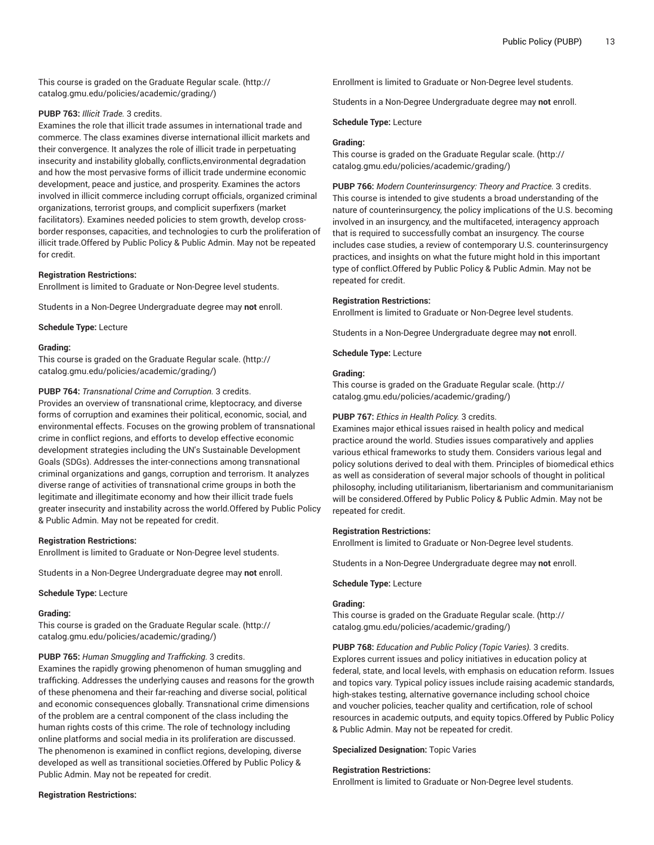This course is graded on the [Graduate Regular scale.](http://catalog.gmu.edu/policies/academic/grading/) [\(http://](http://catalog.gmu.edu/policies/academic/grading/) [catalog.gmu.edu/policies/academic/grading/\)](http://catalog.gmu.edu/policies/academic/grading/)

# **PUBP 763:** *Illicit Trade.* 3 credits.

Examines the role that illicit trade assumes in international trade and commerce. The class examines diverse international illicit markets and their convergence. It analyzes the role of illicit trade in perpetuating insecurity and instability globally, conflicts,environmental degradation and how the most pervasive forms of illicit trade undermine economic development, peace and justice, and prosperity. Examines the actors involved in illicit commerce including corrupt officials, organized criminal organizations, terrorist groups, and complicit superfixers (market facilitators). Examines needed policies to stem growth, develop crossborder responses, capacities, and technologies to curb the proliferation of illicit trade.Offered by Public Policy & Public Admin. May not be repeated for credit.

#### **Registration Restrictions:**

Enrollment is limited to Graduate or Non-Degree level students.

Students in a Non-Degree Undergraduate degree may **not** enroll.

**Schedule Type:** Lecture

# **Grading:**

This course is graded on the [Graduate Regular scale.](http://catalog.gmu.edu/policies/academic/grading/) [\(http://](http://catalog.gmu.edu/policies/academic/grading/) [catalog.gmu.edu/policies/academic/grading/\)](http://catalog.gmu.edu/policies/academic/grading/)

#### **PUBP 764:** *Transnational Crime and Corruption.* 3 credits.

Provides an overview of transnational crime, kleptocracy, and diverse forms of corruption and examines their political, economic, social, and environmental effects. Focuses on the growing problem of transnational crime in conflict regions, and efforts to develop effective economic development strategies including the UN's Sustainable Development Goals (SDGs). Addresses the inter-connections among transnational criminal organizations and gangs, corruption and terrorism. It analyzes diverse range of activities of transnational crime groups in both the legitimate and illegitimate economy and how their illicit trade fuels greater insecurity and instability across the world.Offered by Public Policy & Public Admin. May not be repeated for credit.

#### **Registration Restrictions:**

Enrollment is limited to Graduate or Non-Degree level students.

Students in a Non-Degree Undergraduate degree may **not** enroll.

**Schedule Type:** Lecture

#### **Grading:**

This course is graded on the [Graduate Regular scale.](http://catalog.gmu.edu/policies/academic/grading/) [\(http://](http://catalog.gmu.edu/policies/academic/grading/) [catalog.gmu.edu/policies/academic/grading/\)](http://catalog.gmu.edu/policies/academic/grading/)

# **PUBP 765:** *Human Smuggling and Trafficking.* 3 credits.

Examines the rapidly growing phenomenon of human smuggling and trafficking. Addresses the underlying causes and reasons for the growth of these phenomena and their far-reaching and diverse social, political and economic consequences globally. Transnational crime dimensions of the problem are a central component of the class including the human rights costs of this crime. The role of technology including online platforms and social media in its proliferation are discussed. The phenomenon is examined in conflict regions, developing, diverse developed as well as transitional societies.Offered by Public Policy & Public Admin. May not be repeated for credit.

#### **Registration Restrictions:**

Enrollment is limited to Graduate or Non-Degree level students.

Students in a Non-Degree Undergraduate degree may **not** enroll.

**Schedule Type:** Lecture

# **Grading:**

This course is graded on the [Graduate Regular scale.](http://catalog.gmu.edu/policies/academic/grading/) ([http://](http://catalog.gmu.edu/policies/academic/grading/) [catalog.gmu.edu/policies/academic/grading/](http://catalog.gmu.edu/policies/academic/grading/))

**PUBP 766:** *Modern Counterinsurgency: Theory and Practice.* 3 credits. This course is intended to give students a broad understanding of the nature of counterinsurgency, the policy implications of the U.S. becoming involved in an insurgency, and the multifaceted, interagency approach that is required to successfully combat an insurgency. The course includes case studies, a review of contemporary U.S. counterinsurgency practices, and insights on what the future might hold in this important type of conflict.Offered by Public Policy & Public Admin. May not be repeated for credit.

#### **Registration Restrictions:**

Enrollment is limited to Graduate or Non-Degree level students.

Students in a Non-Degree Undergraduate degree may **not** enroll.

**Schedule Type:** Lecture

#### **Grading:**

This course is graded on the [Graduate Regular scale.](http://catalog.gmu.edu/policies/academic/grading/) ([http://](http://catalog.gmu.edu/policies/academic/grading/) [catalog.gmu.edu/policies/academic/grading/](http://catalog.gmu.edu/policies/academic/grading/))

# **PUBP 767:** *Ethics in Health Policy.* 3 credits.

Examines major ethical issues raised in health policy and medical practice around the world. Studies issues comparatively and applies various ethical frameworks to study them. Considers various legal and policy solutions derived to deal with them. Principles of biomedical ethics as well as consideration of several major schools of thought in political philosophy, including utilitarianism, libertarianism and communitarianism will be considered.Offered by Public Policy & Public Admin. May not be repeated for credit.

#### **Registration Restrictions:**

Enrollment is limited to Graduate or Non-Degree level students.

Students in a Non-Degree Undergraduate degree may **not** enroll.

#### **Schedule Type:** Lecture

# **Grading:**

This course is graded on the [Graduate Regular scale.](http://catalog.gmu.edu/policies/academic/grading/) ([http://](http://catalog.gmu.edu/policies/academic/grading/) [catalog.gmu.edu/policies/academic/grading/](http://catalog.gmu.edu/policies/academic/grading/))

**PUBP 768:** *Education and Public Policy (Topic Varies).* 3 credits. Explores current issues and policy initiatives in education policy at federal, state, and local levels, with emphasis on education reform. Issues and topics vary. Typical policy issues include raising academic standards, high-stakes testing, alternative governance including school choice and voucher policies, teacher quality and certification, role of school resources in academic outputs, and equity topics.Offered by Public Policy & Public Admin. May not be repeated for credit.

**Specialized Designation:** Topic Varies

#### **Registration Restrictions:**

Enrollment is limited to Graduate or Non-Degree level students.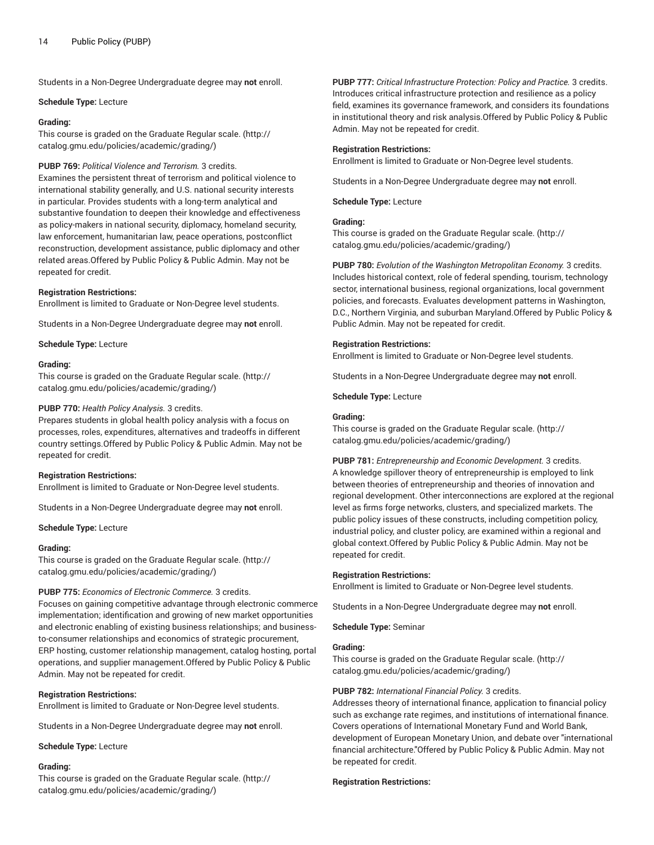#### **Schedule Type:** Lecture

# **Grading:**

This course is graded on the [Graduate Regular scale.](http://catalog.gmu.edu/policies/academic/grading/) [\(http://](http://catalog.gmu.edu/policies/academic/grading/) [catalog.gmu.edu/policies/academic/grading/\)](http://catalog.gmu.edu/policies/academic/grading/)

# **PUBP 769:** *Political Violence and Terrorism.* 3 credits.

Examines the persistent threat of terrorism and political violence to international stability generally, and U.S. national security interests in particular. Provides students with a long-term analytical and substantive foundation to deepen their knowledge and effectiveness as policy-makers in national security, diplomacy, homeland security, law enforcement, humanitarian law, peace operations, postconflict reconstruction, development assistance, public diplomacy and other related areas.Offered by Public Policy & Public Admin. May not be repeated for credit.

#### **Registration Restrictions:**

Enrollment is limited to Graduate or Non-Degree level students.

Students in a Non-Degree Undergraduate degree may **not** enroll.

**Schedule Type:** Lecture

#### **Grading:**

This course is graded on the [Graduate Regular scale.](http://catalog.gmu.edu/policies/academic/grading/) [\(http://](http://catalog.gmu.edu/policies/academic/grading/) [catalog.gmu.edu/policies/academic/grading/\)](http://catalog.gmu.edu/policies/academic/grading/)

#### **PUBP 770:** *Health Policy Analysis.* 3 credits.

Prepares students in global health policy analysis with a focus on processes, roles, expenditures, alternatives and tradeoffs in different country settings.Offered by Public Policy & Public Admin. May not be repeated for credit.

# **Registration Restrictions:**

Enrollment is limited to Graduate or Non-Degree level students.

Students in a Non-Degree Undergraduate degree may **not** enroll.

**Schedule Type:** Lecture

#### **Grading:**

This course is graded on the [Graduate Regular scale.](http://catalog.gmu.edu/policies/academic/grading/) [\(http://](http://catalog.gmu.edu/policies/academic/grading/) [catalog.gmu.edu/policies/academic/grading/\)](http://catalog.gmu.edu/policies/academic/grading/)

# **PUBP 775:** *Economics of Electronic Commerce.* 3 credits.

Focuses on gaining competitive advantage through electronic commerce implementation; identification and growing of new market opportunities and electronic enabling of existing business relationships; and businessto-consumer relationships and economics of strategic procurement, ERP hosting, customer relationship management, catalog hosting, portal operations, and supplier management.Offered by Public Policy & Public Admin. May not be repeated for credit.

# **Registration Restrictions:**

Enrollment is limited to Graduate or Non-Degree level students.

Students in a Non-Degree Undergraduate degree may **not** enroll.

**Schedule Type:** Lecture

#### **Grading:**

This course is graded on the [Graduate Regular scale.](http://catalog.gmu.edu/policies/academic/grading/) [\(http://](http://catalog.gmu.edu/policies/academic/grading/) [catalog.gmu.edu/policies/academic/grading/\)](http://catalog.gmu.edu/policies/academic/grading/)

**PUBP 777:** *Critical Infrastructure Protection: Policy and Practice.* 3 credits. Introduces critical infrastructure protection and resilience as a policy field, examines its governance framework, and considers its foundations in institutional theory and risk analysis.Offered by Public Policy & Public Admin. May not be repeated for credit.

# **Registration Restrictions:**

Enrollment is limited to Graduate or Non-Degree level students.

Students in a Non-Degree Undergraduate degree may **not** enroll.

**Schedule Type:** Lecture

# **Grading:**

This course is graded on the [Graduate Regular scale.](http://catalog.gmu.edu/policies/academic/grading/) ([http://](http://catalog.gmu.edu/policies/academic/grading/) [catalog.gmu.edu/policies/academic/grading/](http://catalog.gmu.edu/policies/academic/grading/))

**PUBP 780:** *Evolution of the Washington Metropolitan Economy.* 3 credits. Includes historical context, role of federal spending, tourism, technology sector, international business, regional organizations, local government policies, and forecasts. Evaluates development patterns in Washington, D.C., Northern Virginia, and suburban Maryland.Offered by Public Policy & Public Admin. May not be repeated for credit.

# **Registration Restrictions:**

Enrollment is limited to Graduate or Non-Degree level students.

Students in a Non-Degree Undergraduate degree may **not** enroll.

**Schedule Type:** Lecture

#### **Grading:**

This course is graded on the [Graduate Regular scale.](http://catalog.gmu.edu/policies/academic/grading/) ([http://](http://catalog.gmu.edu/policies/academic/grading/) [catalog.gmu.edu/policies/academic/grading/](http://catalog.gmu.edu/policies/academic/grading/))

**PUBP 781:** *Entrepreneurship and Economic Development.* 3 credits. A knowledge spillover theory of entrepreneurship is employed to link between theories of entrepreneurship and theories of innovation and regional development. Other interconnections are explored at the regional level as firms forge networks, clusters, and specialized markets. The public policy issues of these constructs, including competition policy, industrial policy, and cluster policy, are examined within a regional and global context.Offered by Public Policy & Public Admin. May not be repeated for credit.

#### **Registration Restrictions:**

Enrollment is limited to Graduate or Non-Degree level students.

Students in a Non-Degree Undergraduate degree may **not** enroll.

**Schedule Type:** Seminar

# **Grading:**

This course is graded on the [Graduate Regular scale.](http://catalog.gmu.edu/policies/academic/grading/) ([http://](http://catalog.gmu.edu/policies/academic/grading/) [catalog.gmu.edu/policies/academic/grading/](http://catalog.gmu.edu/policies/academic/grading/))

#### **PUBP 782:** *International Financial Policy.* 3 credits.

Addresses theory of international finance, application to financial policy such as exchange rate regimes, and institutions of international finance. Covers operations of International Monetary Fund and World Bank, development of European Monetary Union, and debate over "international financial architecture."Offered by Public Policy & Public Admin. May not be repeated for credit.

# **Registration Restrictions:**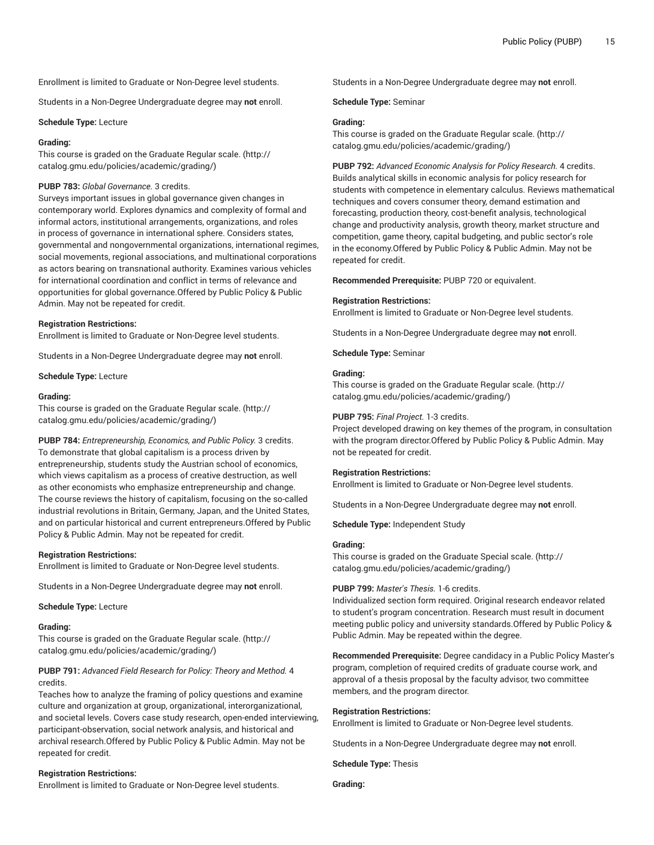Enrollment is limited to Graduate or Non-Degree level students.

Students in a Non-Degree Undergraduate degree may **not** enroll.

#### **Schedule Type:** Lecture

# **Grading:**

This course is graded on the [Graduate Regular scale.](http://catalog.gmu.edu/policies/academic/grading/) [\(http://](http://catalog.gmu.edu/policies/academic/grading/) [catalog.gmu.edu/policies/academic/grading/\)](http://catalog.gmu.edu/policies/academic/grading/)

# **PUBP 783:** *Global Governance.* 3 credits.

Surveys important issues in global governance given changes in contemporary world. Explores dynamics and complexity of formal and informal actors, institutional arrangements, organizations, and roles in process of governance in international sphere. Considers states, governmental and nongovernmental organizations, international regimes, social movements, regional associations, and multinational corporations as actors bearing on transnational authority. Examines various vehicles for international coordination and conflict in terms of relevance and opportunities for global governance.Offered by Public Policy & Public Admin. May not be repeated for credit.

#### **Registration Restrictions:**

Enrollment is limited to Graduate or Non-Degree level students.

Students in a Non-Degree Undergraduate degree may **not** enroll.

**Schedule Type:** Lecture

#### **Grading:**

This course is graded on the [Graduate Regular scale.](http://catalog.gmu.edu/policies/academic/grading/) [\(http://](http://catalog.gmu.edu/policies/academic/grading/) [catalog.gmu.edu/policies/academic/grading/\)](http://catalog.gmu.edu/policies/academic/grading/)

**PUBP 784:** *Entrepreneurship, Economics, and Public Policy.* 3 credits. To demonstrate that global capitalism is a process driven by entrepreneurship, students study the Austrian school of economics, which views capitalism as a process of creative destruction, as well as other economists who emphasize entrepreneurship and change. The course reviews the history of capitalism, focusing on the so-called industrial revolutions in Britain, Germany, Japan, and the United States, and on particular historical and current entrepreneurs.Offered by Public Policy & Public Admin. May not be repeated for credit.

#### **Registration Restrictions:**

Enrollment is limited to Graduate or Non-Degree level students.

Students in a Non-Degree Undergraduate degree may **not** enroll.

**Schedule Type:** Lecture

#### **Grading:**

This course is graded on the [Graduate Regular scale.](http://catalog.gmu.edu/policies/academic/grading/) [\(http://](http://catalog.gmu.edu/policies/academic/grading/) [catalog.gmu.edu/policies/academic/grading/\)](http://catalog.gmu.edu/policies/academic/grading/)

# **PUBP 791:** *Advanced Field Research for Policy: Theory and Method.* 4 credits.

Teaches how to analyze the framing of policy questions and examine culture and organization at group, organizational, interorganizational, and societal levels. Covers case study research, open-ended interviewing, participant-observation, social network analysis, and historical and archival research.Offered by Public Policy & Public Admin. May not be repeated for credit.

# **Registration Restrictions:**

Enrollment is limited to Graduate or Non-Degree level students.

Students in a Non-Degree Undergraduate degree may **not** enroll.

**Schedule Type:** Seminar

# **Grading:**

This course is graded on the [Graduate Regular scale.](http://catalog.gmu.edu/policies/academic/grading/) ([http://](http://catalog.gmu.edu/policies/academic/grading/) [catalog.gmu.edu/policies/academic/grading/](http://catalog.gmu.edu/policies/academic/grading/))

**PUBP 792:** *Advanced Economic Analysis for Policy Research.* 4 credits. Builds analytical skills in economic analysis for policy research for students with competence in elementary calculus. Reviews mathematical techniques and covers consumer theory, demand estimation and forecasting, production theory, cost-benefit analysis, technological change and productivity analysis, growth theory, market structure and competition, game theory, capital budgeting, and public sector's role in the economy.Offered by Public Policy & Public Admin. May not be repeated for credit.

**Recommended Prerequisite:** PUBP 720 or equivalent.

# **Registration Restrictions:**

Enrollment is limited to Graduate or Non-Degree level students.

Students in a Non-Degree Undergraduate degree may **not** enroll.

**Schedule Type:** Seminar

#### **Grading:**

This course is graded on the [Graduate Regular scale.](http://catalog.gmu.edu/policies/academic/grading/) ([http://](http://catalog.gmu.edu/policies/academic/grading/) [catalog.gmu.edu/policies/academic/grading/](http://catalog.gmu.edu/policies/academic/grading/))

# **PUBP 795:** *Final Project.* 1-3 credits.

Project developed drawing on key themes of the program, in consultation with the program director.Offered by Public Policy & Public Admin. May not be repeated for credit.

# **Registration Restrictions:**

Enrollment is limited to Graduate or Non-Degree level students.

Students in a Non-Degree Undergraduate degree may **not** enroll.

**Schedule Type:** Independent Study

# **Grading:**

This course is graded on the [Graduate Special scale. \(http://](http://catalog.gmu.edu/policies/academic/grading/) [catalog.gmu.edu/policies/academic/grading/](http://catalog.gmu.edu/policies/academic/grading/))

# **PUBP 799:** *Master's Thesis.* 1-6 credits.

Individualized section form required. Original research endeavor related to student's program concentration. Research must result in document meeting public policy and university standards.Offered by Public Policy & Public Admin. May be repeated within the degree.

**Recommended Prerequisite:** Degree candidacy in a Public Policy Master's program, completion of required credits of graduate course work, and approval of a thesis proposal by the faculty advisor, two committee members, and the program director.

#### **Registration Restrictions:**

Enrollment is limited to Graduate or Non-Degree level students.

Students in a Non-Degree Undergraduate degree may **not** enroll.

**Schedule Type:** Thesis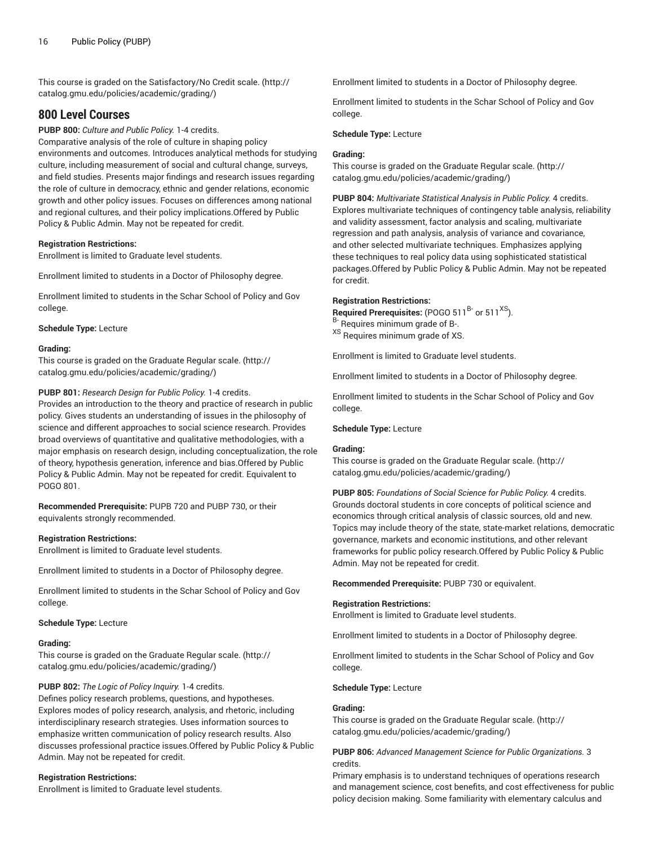This course is graded on the [Satisfactory/No](http://catalog.gmu.edu/policies/academic/grading/) Credit scale. ([http://](http://catalog.gmu.edu/policies/academic/grading/) [catalog.gmu.edu/policies/academic/grading/\)](http://catalog.gmu.edu/policies/academic/grading/)

# **800 Level Courses**

**PUBP 800:** *Culture and Public Policy.* 1-4 credits. Comparative analysis of the role of culture in shaping policy environments and outcomes. Introduces analytical methods for studying culture, including measurement of social and cultural change, surveys, and field studies. Presents major findings and research issues regarding the role of culture in democracy, ethnic and gender relations, economic growth and other policy issues. Focuses on differences among national and regional cultures, and their policy implications.Offered by Public Policy & Public Admin. May not be repeated for credit.

# **Registration Restrictions:**

Enrollment is limited to Graduate level students.

Enrollment limited to students in a Doctor of Philosophy degree.

Enrollment limited to students in the Schar School of Policy and Gov college.

**Schedule Type:** Lecture

# **Grading:**

This course is graded on the [Graduate Regular scale.](http://catalog.gmu.edu/policies/academic/grading/) [\(http://](http://catalog.gmu.edu/policies/academic/grading/) [catalog.gmu.edu/policies/academic/grading/\)](http://catalog.gmu.edu/policies/academic/grading/)

# **PUBP 801:** *Research Design for Public Policy.* 1-4 credits.

Provides an introduction to the theory and practice of research in public policy. Gives students an understanding of issues in the philosophy of science and different approaches to social science research. Provides broad overviews of quantitative and qualitative methodologies, with a major emphasis on research design, including conceptualization, the role of theory, hypothesis generation, inference and bias.Offered by Public Policy & Public Admin. May not be repeated for credit. Equivalent to POGO 801.

**Recommended Prerequisite:** PUPB 720 and PUBP 730, or their equivalents strongly recommended.

# **Registration Restrictions:**

Enrollment is limited to Graduate level students.

Enrollment limited to students in a Doctor of Philosophy degree.

Enrollment limited to students in the Schar School of Policy and Gov college.

# **Schedule Type:** Lecture

#### **Grading:**

This course is graded on the [Graduate Regular scale.](http://catalog.gmu.edu/policies/academic/grading/) [\(http://](http://catalog.gmu.edu/policies/academic/grading/) [catalog.gmu.edu/policies/academic/grading/\)](http://catalog.gmu.edu/policies/academic/grading/)

# **PUBP 802:** *The Logic of Policy Inquiry.* 1-4 credits.

Defines policy research problems, questions, and hypotheses. Explores modes of policy research, analysis, and rhetoric, including interdisciplinary research strategies. Uses information sources to emphasize written communication of policy research results. Also discusses professional practice issues.Offered by Public Policy & Public Admin. May not be repeated for credit.

# **Registration Restrictions:**

Enrollment is limited to Graduate level students.

Enrollment limited to students in a Doctor of Philosophy degree.

Enrollment limited to students in the Schar School of Policy and Gov college.

# **Schedule Type:** Lecture

# **Grading:**

This course is graded on the [Graduate Regular scale.](http://catalog.gmu.edu/policies/academic/grading/) ([http://](http://catalog.gmu.edu/policies/academic/grading/) [catalog.gmu.edu/policies/academic/grading/](http://catalog.gmu.edu/policies/academic/grading/))

**PUBP 804:** *Multivariate Statistical Analysis in Public Policy.* 4 credits. Explores multivariate techniques of contingency table analysis, reliability and validity assessment, factor analysis and scaling, multivariate regression and path analysis, analysis of variance and covariance, and other selected multivariate techniques. Emphasizes applying these techniques to real policy data using sophisticated statistical packages.Offered by Public Policy & Public Admin. May not be repeated for credit.

# **Registration Restrictions:**

**Required Prerequisites:** (POGO 511<sup>B-</sup> or 511<sup>XS</sup>). B- Requires minimum grade of B-.

XS Requires minimum grade of XS.

Enrollment is limited to Graduate level students.

Enrollment limited to students in a Doctor of Philosophy degree.

Enrollment limited to students in the Schar School of Policy and Gov college.

# **Schedule Type:** Lecture

#### **Grading:**

This course is graded on the [Graduate Regular scale.](http://catalog.gmu.edu/policies/academic/grading/) ([http://](http://catalog.gmu.edu/policies/academic/grading/) [catalog.gmu.edu/policies/academic/grading/](http://catalog.gmu.edu/policies/academic/grading/))

**PUBP 805:** *Foundations of Social Science for Public Policy.* 4 credits. Grounds doctoral students in core concepts of political science and economics through critical analysis of classic sources, old and new. Topics may include theory of the state, state-market relations, democratic governance, markets and economic institutions, and other relevant frameworks for public policy research.Offered by Public Policy & Public Admin. May not be repeated for credit.

**Recommended Prerequisite:** PUBP 730 or equivalent.

#### **Registration Restrictions:**

Enrollment is limited to Graduate level students.

Enrollment limited to students in a Doctor of Philosophy degree.

Enrollment limited to students in the Schar School of Policy and Gov college.

#### **Schedule Type:** Lecture

# **Grading:**

This course is graded on the [Graduate Regular scale.](http://catalog.gmu.edu/policies/academic/grading/) ([http://](http://catalog.gmu.edu/policies/academic/grading/) [catalog.gmu.edu/policies/academic/grading/](http://catalog.gmu.edu/policies/academic/grading/))

**PUBP 806:** *Advanced Management Science for Public Organizations.* 3 credits.

Primary emphasis is to understand techniques of operations research and management science, cost benefits, and cost effectiveness for public policy decision making. Some familiarity with elementary calculus and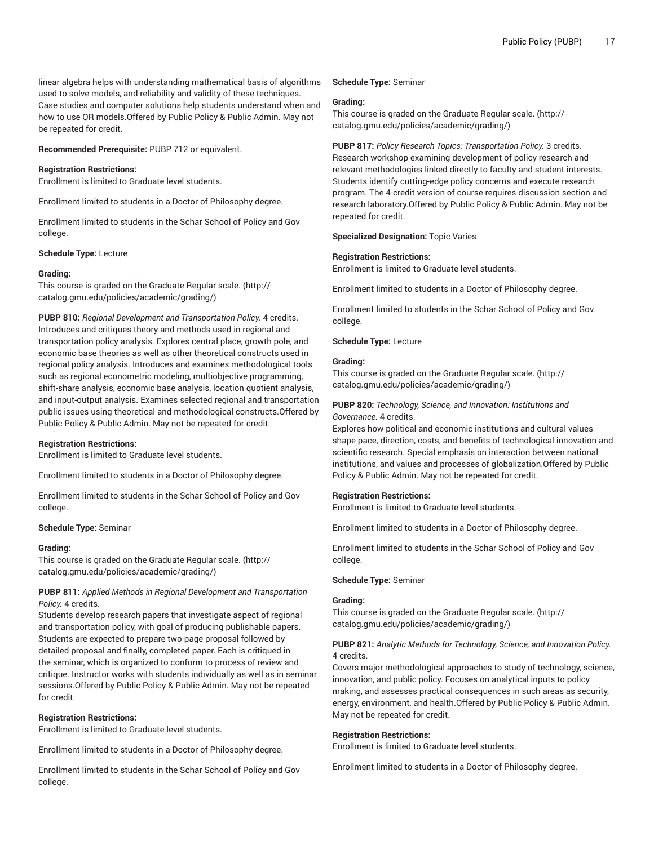linear algebra helps with understanding mathematical basis of algorithms used to solve models, and reliability and validity of these techniques. Case studies and computer solutions help students understand when and how to use OR models.Offered by Public Policy & Public Admin. May not be repeated for credit.

**Recommended Prerequisite:** PUBP 712 or equivalent.

# **Registration Restrictions:**

Enrollment is limited to Graduate level students.

Enrollment limited to students in a Doctor of Philosophy degree.

Enrollment limited to students in the Schar School of Policy and Gov college.

**Schedule Type:** Lecture

#### **Grading:**

This course is graded on the [Graduate Regular scale.](http://catalog.gmu.edu/policies/academic/grading/) [\(http://](http://catalog.gmu.edu/policies/academic/grading/) [catalog.gmu.edu/policies/academic/grading/\)](http://catalog.gmu.edu/policies/academic/grading/)

**PUBP 810:** *Regional Development and Transportation Policy.* 4 credits. Introduces and critiques theory and methods used in regional and transportation policy analysis. Explores central place, growth pole, and economic base theories as well as other theoretical constructs used in regional policy analysis. Introduces and examines methodological tools such as regional econometric modeling, multiobjective programming, shift-share analysis, economic base analysis, location quotient analysis, and input-output analysis. Examines selected regional and transportation public issues using theoretical and methodological constructs.Offered by Public Policy & Public Admin. May not be repeated for credit.

# **Registration Restrictions:**

Enrollment is limited to Graduate level students.

Enrollment limited to students in a Doctor of Philosophy degree.

Enrollment limited to students in the Schar School of Policy and Gov college.

#### **Schedule Type:** Seminar

#### **Grading:**

This course is graded on the [Graduate Regular scale.](http://catalog.gmu.edu/policies/academic/grading/) [\(http://](http://catalog.gmu.edu/policies/academic/grading/) [catalog.gmu.edu/policies/academic/grading/\)](http://catalog.gmu.edu/policies/academic/grading/)

# **PUBP 811:** *Applied Methods in Regional Development and Transportation Policy.* 4 credits.

Students develop research papers that investigate aspect of regional and transportation policy, with goal of producing publishable papers. Students are expected to prepare two-page proposal followed by detailed proposal and finally, completed paper. Each is critiqued in the seminar, which is organized to conform to process of review and critique. Instructor works with students individually as well as in seminar sessions.Offered by Public Policy & Public Admin. May not be repeated for credit.

#### **Registration Restrictions:**

Enrollment is limited to Graduate level students.

Enrollment limited to students in a Doctor of Philosophy degree.

Enrollment limited to students in the Schar School of Policy and Gov college.

#### **Schedule Type:** Seminar

#### **Grading:**

This course is graded on the [Graduate Regular scale.](http://catalog.gmu.edu/policies/academic/grading/) ([http://](http://catalog.gmu.edu/policies/academic/grading/) [catalog.gmu.edu/policies/academic/grading/](http://catalog.gmu.edu/policies/academic/grading/))

**PUBP 817:** *Policy Research Topics: Transportation Policy.* 3 credits. Research workshop examining development of policy research and relevant methodologies linked directly to faculty and student interests. Students identify cutting-edge policy concerns and execute research program. The 4-credit version of course requires discussion section and research laboratory.Offered by Public Policy & Public Admin. May not be repeated for credit.

#### **Specialized Designation:** Topic Varies

# **Registration Restrictions:**

Enrollment is limited to Graduate level students.

Enrollment limited to students in a Doctor of Philosophy degree.

Enrollment limited to students in the Schar School of Policy and Gov college.

#### **Schedule Type:** Lecture

# **Grading:**

This course is graded on the [Graduate Regular scale.](http://catalog.gmu.edu/policies/academic/grading/) ([http://](http://catalog.gmu.edu/policies/academic/grading/) [catalog.gmu.edu/policies/academic/grading/](http://catalog.gmu.edu/policies/academic/grading/))

# **PUBP 820:** *Technology, Science, and Innovation: Institutions and Governance.* 4 credits.

Explores how political and economic institutions and cultural values shape pace, direction, costs, and benefits of technological innovation and scientific research. Special emphasis on interaction between national institutions, and values and processes of globalization.Offered by Public Policy & Public Admin. May not be repeated for credit.

# **Registration Restrictions:**

Enrollment is limited to Graduate level students.

Enrollment limited to students in a Doctor of Philosophy degree.

Enrollment limited to students in the Schar School of Policy and Gov college.

# **Schedule Type:** Seminar

#### **Grading:**

This course is graded on the [Graduate Regular scale.](http://catalog.gmu.edu/policies/academic/grading/) ([http://](http://catalog.gmu.edu/policies/academic/grading/) [catalog.gmu.edu/policies/academic/grading/](http://catalog.gmu.edu/policies/academic/grading/))

# **PUBP 821:** *Analytic Methods for Technology, Science, and Innovation Policy.* 4 credits.

Covers major methodological approaches to study of technology, science, innovation, and public policy. Focuses on analytical inputs to policy making, and assesses practical consequences in such areas as security, energy, environment, and health.Offered by Public Policy & Public Admin. May not be repeated for credit.

# **Registration Restrictions:**

Enrollment is limited to Graduate level students.

Enrollment limited to students in a Doctor of Philosophy degree.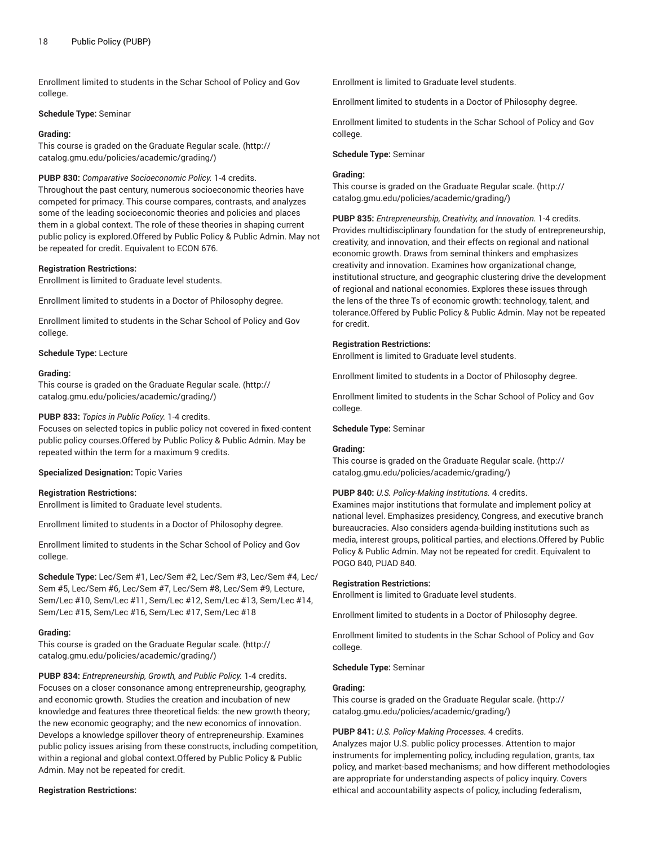Enrollment limited to students in the Schar School of Policy and Gov college.

# **Schedule Type:** Seminar

# **Grading:**

This course is graded on the [Graduate Regular scale.](http://catalog.gmu.edu/policies/academic/grading/) [\(http://](http://catalog.gmu.edu/policies/academic/grading/) [catalog.gmu.edu/policies/academic/grading/\)](http://catalog.gmu.edu/policies/academic/grading/)

# **PUBP 830:** *Comparative Socioeconomic Policy.* 1-4 credits.

Throughout the past century, numerous socioeconomic theories have competed for primacy. This course compares, contrasts, and analyzes some of the leading socioeconomic theories and policies and places them in a global context. The role of these theories in shaping current public policy is explored.Offered by Public Policy & Public Admin. May not be repeated for credit. Equivalent to ECON 676.

#### **Registration Restrictions:**

Enrollment is limited to Graduate level students.

Enrollment limited to students in a Doctor of Philosophy degree.

Enrollment limited to students in the Schar School of Policy and Gov college.

**Schedule Type:** Lecture

#### **Grading:**

This course is graded on the [Graduate Regular scale.](http://catalog.gmu.edu/policies/academic/grading/) [\(http://](http://catalog.gmu.edu/policies/academic/grading/) [catalog.gmu.edu/policies/academic/grading/\)](http://catalog.gmu.edu/policies/academic/grading/)

# **PUBP 833:** *Topics in Public Policy.* 1-4 credits.

Focuses on selected topics in public policy not covered in fixed-content public policy courses.Offered by Public Policy & Public Admin. May be repeated within the term for a maximum 9 credits.

# **Specialized Designation:** Topic Varies

# **Registration Restrictions:**

Enrollment is limited to Graduate level students.

Enrollment limited to students in a Doctor of Philosophy degree.

Enrollment limited to students in the Schar School of Policy and Gov college.

**Schedule Type:** Lec/Sem #1, Lec/Sem #2, Lec/Sem #3, Lec/Sem #4, Lec/ Sem #5, Lec/Sem #6, Lec/Sem #7, Lec/Sem #8, Lec/Sem #9, Lecture, Sem/Lec #10, Sem/Lec #11, Sem/Lec #12, Sem/Lec #13, Sem/Lec #14, Sem/Lec #15, Sem/Lec #16, Sem/Lec #17, Sem/Lec #18

# **Grading:**

This course is graded on the [Graduate Regular scale.](http://catalog.gmu.edu/policies/academic/grading/) [\(http://](http://catalog.gmu.edu/policies/academic/grading/) [catalog.gmu.edu/policies/academic/grading/\)](http://catalog.gmu.edu/policies/academic/grading/)

**PUBP 834:** *Entrepreneurship, Growth, and Public Policy.* 1-4 credits. Focuses on a closer consonance among entrepreneurship, geography, and economic growth. Studies the creation and incubation of new knowledge and features three theoretical fields: the new growth theory; the new economic geography; and the new economics of innovation. Develops a knowledge spillover theory of entrepreneurship. Examines public policy issues arising from these constructs, including competition, within a regional and global context.Offered by Public Policy & Public Admin. May not be repeated for credit.

# **Registration Restrictions:**

Enrollment is limited to Graduate level students.

Enrollment limited to students in a Doctor of Philosophy degree.

Enrollment limited to students in the Schar School of Policy and Gov college.

**Schedule Type:** Seminar

# **Grading:**

This course is graded on the [Graduate Regular scale.](http://catalog.gmu.edu/policies/academic/grading/) ([http://](http://catalog.gmu.edu/policies/academic/grading/) [catalog.gmu.edu/policies/academic/grading/](http://catalog.gmu.edu/policies/academic/grading/))

**PUBP 835:** *Entrepreneurship, Creativity, and Innovation.* 1-4 credits. Provides multidisciplinary foundation for the study of entrepreneurship, creativity, and innovation, and their effects on regional and national economic growth. Draws from seminal thinkers and emphasizes creativity and innovation. Examines how organizational change, institutional structure, and geographic clustering drive the development of regional and national economies. Explores these issues through the lens of the three Ts of economic growth: technology, talent, and tolerance.Offered by Public Policy & Public Admin. May not be repeated for credit.

# **Registration Restrictions:**

Enrollment is limited to Graduate level students.

Enrollment limited to students in a Doctor of Philosophy degree.

Enrollment limited to students in the Schar School of Policy and Gov college.

# **Schedule Type:** Seminar

#### **Grading:**

This course is graded on the [Graduate Regular scale.](http://catalog.gmu.edu/policies/academic/grading/) ([http://](http://catalog.gmu.edu/policies/academic/grading/) [catalog.gmu.edu/policies/academic/grading/](http://catalog.gmu.edu/policies/academic/grading/))

# **PUBP 840:** *U.S. Policy-Making Institutions.* 4 credits.

Examines major institutions that formulate and implement policy at national level. Emphasizes presidency, Congress, and executive branch bureaucracies. Also considers agenda-building institutions such as media, interest groups, political parties, and elections.Offered by Public Policy & Public Admin. May not be repeated for credit. Equivalent to POGO 840, PUAD 840.

# **Registration Restrictions:**

Enrollment is limited to Graduate level students.

Enrollment limited to students in a Doctor of Philosophy degree.

Enrollment limited to students in the Schar School of Policy and Gov college.

#### **Schedule Type:** Seminar

#### **Grading:**

This course is graded on the [Graduate Regular scale.](http://catalog.gmu.edu/policies/academic/grading/) ([http://](http://catalog.gmu.edu/policies/academic/grading/) [catalog.gmu.edu/policies/academic/grading/](http://catalog.gmu.edu/policies/academic/grading/))

# **PUBP 841:** *U.S. Policy-Making Processes.* 4 credits.

Analyzes major U.S. public policy processes. Attention to major instruments for implementing policy, including regulation, grants, tax policy, and market-based mechanisms; and how different methodologies are appropriate for understanding aspects of policy inquiry. Covers ethical and accountability aspects of policy, including federalism,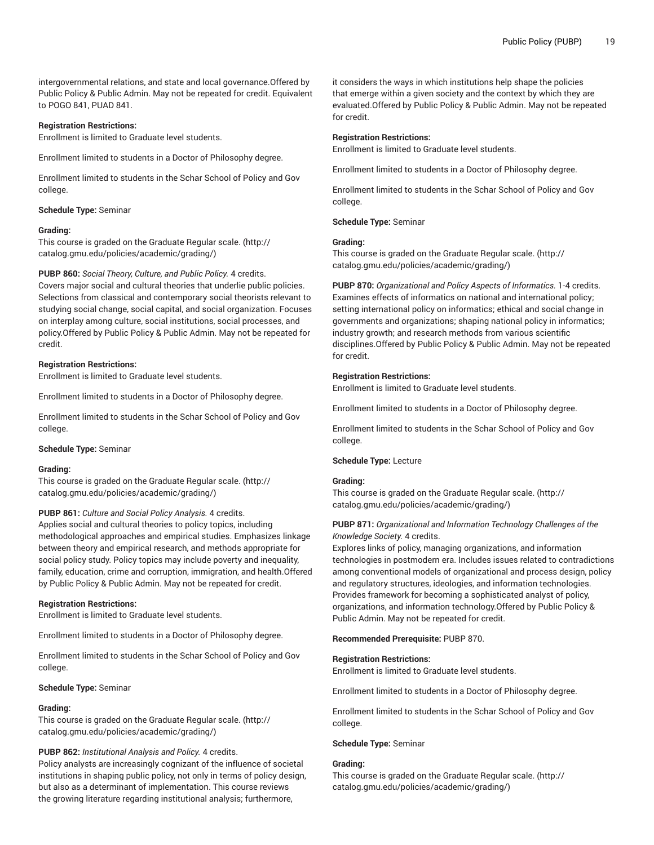intergovernmental relations, and state and local governance.Offered by Public Policy & Public Admin. May not be repeated for credit. Equivalent to POGO 841, PUAD 841.

# **Registration Restrictions:**

Enrollment is limited to Graduate level students.

Enrollment limited to students in a Doctor of Philosophy degree.

Enrollment limited to students in the Schar School of Policy and Gov college.

#### **Schedule Type:** Seminar

#### **Grading:**

This course is graded on the [Graduate Regular scale.](http://catalog.gmu.edu/policies/academic/grading/) [\(http://](http://catalog.gmu.edu/policies/academic/grading/) [catalog.gmu.edu/policies/academic/grading/\)](http://catalog.gmu.edu/policies/academic/grading/)

#### **PUBP 860:** *Social Theory, Culture, and Public Policy.* 4 credits.

Covers major social and cultural theories that underlie public policies. Selections from classical and contemporary social theorists relevant to studying social change, social capital, and social organization. Focuses on interplay among culture, social institutions, social processes, and policy.Offered by Public Policy & Public Admin. May not be repeated for credit.

#### **Registration Restrictions:**

Enrollment is limited to Graduate level students.

Enrollment limited to students in a Doctor of Philosophy degree.

Enrollment limited to students in the Schar School of Policy and Gov college.

#### **Schedule Type:** Seminar

#### **Grading:**

This course is graded on the [Graduate Regular scale.](http://catalog.gmu.edu/policies/academic/grading/) [\(http://](http://catalog.gmu.edu/policies/academic/grading/) [catalog.gmu.edu/policies/academic/grading/\)](http://catalog.gmu.edu/policies/academic/grading/)

#### **PUBP 861:** *Culture and Social Policy Analysis.* 4 credits.

Applies social and cultural theories to policy topics, including methodological approaches and empirical studies. Emphasizes linkage between theory and empirical research, and methods appropriate for social policy study. Policy topics may include poverty and inequality, family, education, crime and corruption, immigration, and health.Offered by Public Policy & Public Admin. May not be repeated for credit.

#### **Registration Restrictions:**

Enrollment is limited to Graduate level students.

Enrollment limited to students in a Doctor of Philosophy degree.

Enrollment limited to students in the Schar School of Policy and Gov college.

#### **Schedule Type:** Seminar

#### **Grading:**

This course is graded on the [Graduate Regular scale.](http://catalog.gmu.edu/policies/academic/grading/) [\(http://](http://catalog.gmu.edu/policies/academic/grading/) [catalog.gmu.edu/policies/academic/grading/\)](http://catalog.gmu.edu/policies/academic/grading/)

# **PUBP 862:** *Institutional Analysis and Policy.* 4 credits.

Policy analysts are increasingly cognizant of the influence of societal institutions in shaping public policy, not only in terms of policy design, but also as a determinant of implementation. This course reviews the growing literature regarding institutional analysis; furthermore,

it considers the ways in which institutions help shape the policies that emerge within a given society and the context by which they are evaluated.Offered by Public Policy & Public Admin. May not be repeated for credit.

#### **Registration Restrictions:**

Enrollment is limited to Graduate level students.

Enrollment limited to students in a Doctor of Philosophy degree.

Enrollment limited to students in the Schar School of Policy and Gov college.

#### **Schedule Type:** Seminar

#### **Grading:**

This course is graded on the [Graduate Regular scale.](http://catalog.gmu.edu/policies/academic/grading/) ([http://](http://catalog.gmu.edu/policies/academic/grading/) [catalog.gmu.edu/policies/academic/grading/](http://catalog.gmu.edu/policies/academic/grading/))

**PUBP 870:** *Organizational and Policy Aspects of Informatics.* 1-4 credits. Examines effects of informatics on national and international policy; setting international policy on informatics; ethical and social change in governments and organizations; shaping national policy in informatics; industry growth; and research methods from various scientific disciplines.Offered by Public Policy & Public Admin. May not be repeated for credit.

#### **Registration Restrictions:**

Enrollment is limited to Graduate level students.

Enrollment limited to students in a Doctor of Philosophy degree.

Enrollment limited to students in the Schar School of Policy and Gov college.

#### **Schedule Type:** Lecture

# **Grading:**

This course is graded on the [Graduate Regular scale.](http://catalog.gmu.edu/policies/academic/grading/) ([http://](http://catalog.gmu.edu/policies/academic/grading/) [catalog.gmu.edu/policies/academic/grading/](http://catalog.gmu.edu/policies/academic/grading/))

# **PUBP 871:** *Organizational and Information Technology Challenges of the Knowledge Society.* 4 credits.

Explores links of policy, managing organizations, and information technologies in postmodern era. Includes issues related to contradictions among conventional models of organizational and process design, policy and regulatory structures, ideologies, and information technologies. Provides framework for becoming a sophisticated analyst of policy, organizations, and information technology.Offered by Public Policy & Public Admin. May not be repeated for credit.

#### **Recommended Prerequisite:** PUBP 870.

#### **Registration Restrictions:**

Enrollment is limited to Graduate level students.

Enrollment limited to students in a Doctor of Philosophy degree.

Enrollment limited to students in the Schar School of Policy and Gov college.

#### **Schedule Type:** Seminar

# **Grading:**

This course is graded on the [Graduate Regular scale.](http://catalog.gmu.edu/policies/academic/grading/) ([http://](http://catalog.gmu.edu/policies/academic/grading/) [catalog.gmu.edu/policies/academic/grading/](http://catalog.gmu.edu/policies/academic/grading/))